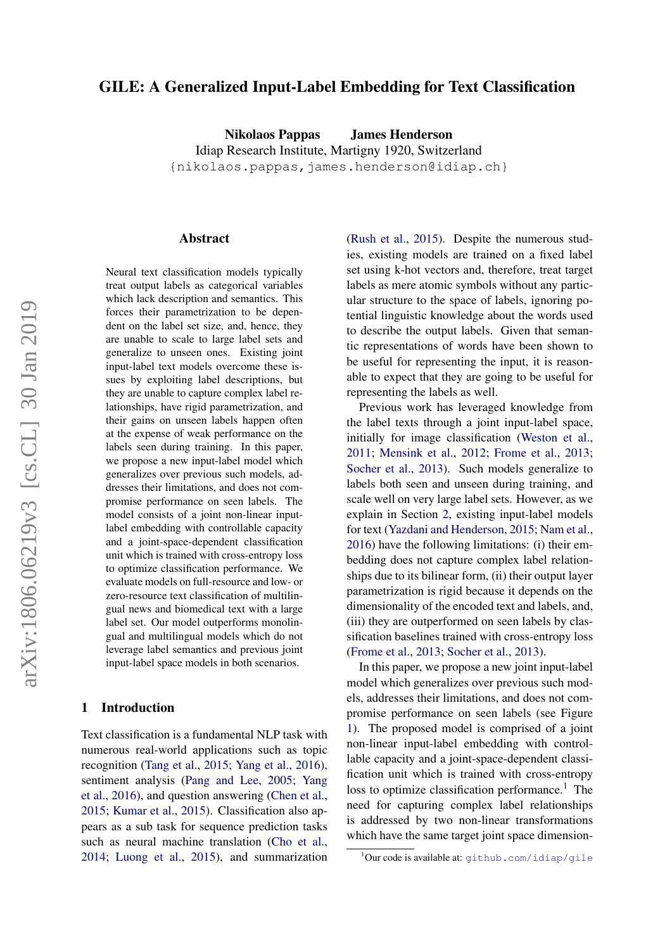# GILE: A Generalized Input-Label Embedding for Text Classification

Nikolaos Pappas James Henderson Idiap Research Institute, Martigny 1920, Switzerland {nikolaos.pappas,james.henderson@idiap.ch}

#### Abstract

Neural text classification models typically treat output labels as categorical variables which lack description and semantics. This forces their parametrization to be dependent on the label set size, and, hence, they are unable to scale to large label sets and generalize to unseen ones. Existing joint input-label text models overcome these issues by exploiting label descriptions, but they are unable to capture complex label relationships, have rigid parametrization, and their gains on unseen labels happen often at the expense of weak performance on the labels seen during training. In this paper, we propose a new input-label model which generalizes over previous such models, addresses their limitations, and does not compromise performance on seen labels. The model consists of a joint non-linear inputlabel embedding with controllable capacity and a joint-space-dependent classification unit which is trained with cross-entropy loss to optimize classification performance. We evaluate models on full-resource and low- or zero-resource text classification of multilingual news and biomedical text with a large label set. Our model outperforms monolingual and multilingual models which do not leverage label semantics and previous joint input-label space models in both scenarios.

## 1 Introduction

Text classification is a fundamental NLP task with numerous real-world applications such as topic recognition [\(Tang et al.,](#page-14-0) [2015;](#page-14-0) [Yang et al.,](#page-15-0) [2016\)](#page-15-0), sentiment analysis [\(Pang and Lee,](#page-14-1) [2005;](#page-14-1) [Yang](#page-15-0) [et al.,](#page-15-0) [2016\)](#page-15-0), and question answering [\(Chen et al.,](#page-12-0) [2015;](#page-12-0) [Kumar et al.,](#page-13-0) [2015\)](#page-13-0). Classification also appears as a sub task for sequence prediction tasks such as neural machine translation [\(Cho et al.,](#page-13-1) [2014;](#page-13-1) [Luong et al.,](#page-13-2) [2015\)](#page-13-2), and summarization [\(Rush et al.,](#page-14-2) [2015\)](#page-14-2). Despite the numerous studies, existing models are trained on a fixed label set using k-hot vectors and, therefore, treat target labels as mere atomic symbols without any particular structure to the space of labels, ignoring potential linguistic knowledge about the words used to describe the output labels. Given that semantic representations of words have been shown to be useful for representing the input, it is reasonable to expect that they are going to be useful for representing the labels as well.

Previous work has leveraged knowledge from the label texts through a joint input-label space, initially for image classification [\(Weston et al.,](#page-15-1) [2011;](#page-15-1) [Mensink et al.,](#page-14-3) [2012;](#page-14-3) [Frome et al.,](#page-13-3) [2013;](#page-13-3) [Socher et al.,](#page-14-4) [2013\)](#page-14-4). Such models generalize to labels both seen and unseen during training, and scale well on very large label sets. However, as we explain in Section [2,](#page-1-0) existing input-label models for text [\(Yazdani and Henderson,](#page-15-2) [2015;](#page-15-2) [Nam et al.,](#page-14-5) [2016\)](#page-14-5) have the following limitations: (i) their embedding does not capture complex label relationships due to its bilinear form, (ii) their output layer parametrization is rigid because it depends on the dimensionality of the encoded text and labels, and, (iii) they are outperformed on seen labels by classification baselines trained with cross-entropy loss [\(Frome et al.,](#page-13-3) [2013;](#page-13-3) [Socher et al.,](#page-14-4) [2013\)](#page-14-4).

In this paper, we propose a new joint input-label model which generalizes over previous such models, addresses their limitations, and does not compromise performance on seen labels (see Figure [1\)](#page-3-0). The proposed model is comprised of a joint non-linear input-label embedding with controllable capacity and a joint-space-dependent classification unit which is trained with cross-entropy loss to optimize classification performance.<sup>[1](#page-0-0)</sup> The need for capturing complex label relationships is addressed by two non-linear transformations which have the same target joint space dimension-

<span id="page-0-0"></span><sup>&</sup>lt;sup>1</sup>Our code is available at: <github.com/idiap/gile>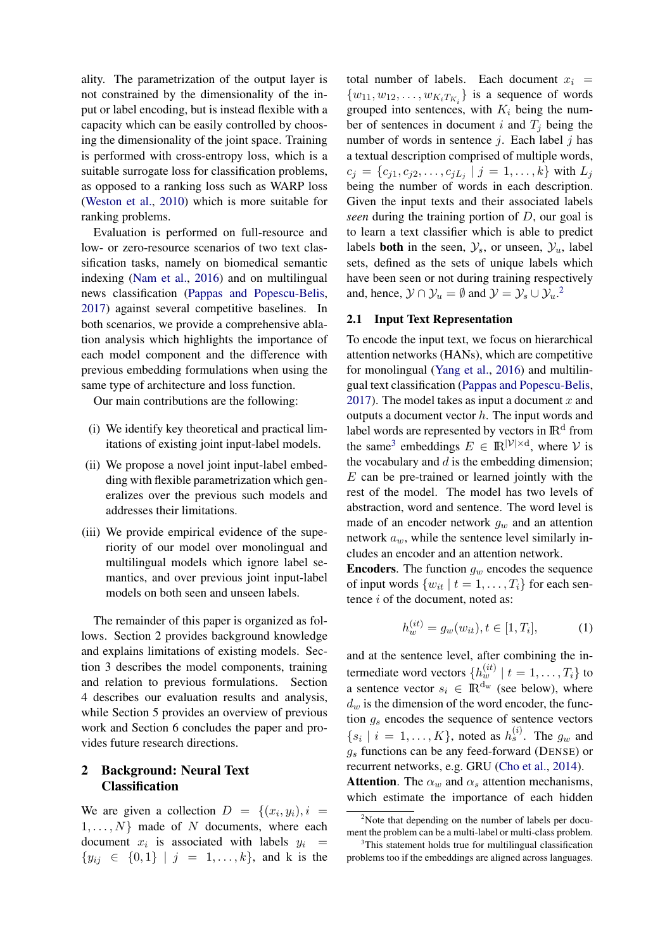ality. The parametrization of the output layer is not constrained by the dimensionality of the input or label encoding, but is instead flexible with a capacity which can be easily controlled by choosing the dimensionality of the joint space. Training is performed with cross-entropy loss, which is a suitable surrogate loss for classification problems, as opposed to a ranking loss such as WARP loss [\(Weston et al.,](#page-15-3) [2010\)](#page-15-3) which is more suitable for ranking problems.

Evaluation is performed on full-resource and low- or zero-resource scenarios of two text classification tasks, namely on biomedical semantic indexing [\(Nam et al.,](#page-14-5) [2016\)](#page-14-5) and on multilingual news classification [\(Pappas and Popescu-Belis,](#page-14-6) [2017\)](#page-14-6) against several competitive baselines. In both scenarios, we provide a comprehensive ablation analysis which highlights the importance of each model component and the difference with previous embedding formulations when using the same type of architecture and loss function.

Our main contributions are the following:

- (i) We identify key theoretical and practical limitations of existing joint input-label models.
- (ii) We propose a novel joint input-label embedding with flexible parametrization which generalizes over the previous such models and addresses their limitations.
- (iii) We provide empirical evidence of the superiority of our model over monolingual and multilingual models which ignore label semantics, and over previous joint input-label models on both seen and unseen labels.

The remainder of this paper is organized as follows. Section 2 provides background knowledge and explains limitations of existing models. Section 3 describes the model components, training and relation to previous formulations. Section 4 describes our evaluation results and analysis, while Section 5 provides an overview of previous work and Section 6 concludes the paper and provides future research directions.

# <span id="page-1-0"></span>2 Background: Neural Text **Classification**

We are given a collection  $D = \{(x_i, y_i), i =$  $1, \ldots, N$  made of N documents, where each document  $x_i$  is associated with labels  $y_i$  =  ${y_{ij} \in \{0,1\} \mid j = 1,\ldots,k\},\$  and k is the total number of labels. Each document  $x_i$  =  $\{w_{11}, w_{12}, \ldots, w_{K_i T_{K_i}}\}$  is a sequence of words grouped into sentences, with  $K_i$  being the number of sentences in document i and  $T_j$  being the number of words in sentence  $j$ . Each label  $j$  has a textual description comprised of multiple words,  $c_j = \{c_{j1}, c_{j2}, \ldots, c_{jL_j} | j = 1, \ldots, k\}$  with  $L_j$ being the number of words in each description. Given the input texts and their associated labels *seen* during the training portion of D, our goal is to learn a text classifier which is able to predict labels **both** in the seen,  $\mathcal{Y}_s$ , or unseen,  $\mathcal{Y}_u$ , label sets, defined as the sets of unique labels which have been seen or not during training respectively and, hence,  $\mathcal{Y} \cap \mathcal{Y}_u = \emptyset$  and  $\mathcal{Y} = \mathcal{Y}_s \cup \mathcal{Y}_u$ .<sup>[2](#page-1-1)</sup>

# 2.1 Input Text Representation

To encode the input text, we focus on hierarchical attention networks (HANs), which are competitive for monolingual [\(Yang et al.,](#page-15-0) [2016\)](#page-15-0) and multilingual text classification [\(Pappas and Popescu-Belis,](#page-14-6) [2017\)](#page-14-6). The model takes as input a document  $x$  and outputs a document vector  $h$ . The input words and label words are represented by vectors in  $\mathbb{R}^d$  from the same<sup>[3](#page-1-2)</sup> embeddings  $E \in \mathbb{R}^{|\mathcal{V}| \times d}$ , where V is the vocabulary and  $d$  is the embedding dimension;  $E$  can be pre-trained or learned jointly with the rest of the model. The model has two levels of abstraction, word and sentence. The word level is made of an encoder network  $g_w$  and an attention network  $a_w$ , while the sentence level similarly includes an encoder and an attention network.

**Encoders.** The function  $q_w$  encodes the sequence of input words  $\{w_{it} | t = 1, \ldots, T_i\}$  for each sentence i of the document, noted as:

$$
h_w^{(it)} = g_w(w_{it}), t \in [1, T_i],
$$
 (1)

and at the sentence level, after combining the intermediate word vectors  $\{h_w^{(it)} \mid t = 1, \ldots, T_i\}$  to a sentence vector  $s_i \in \mathbb{R}^{d_w}$  (see below), where  $d_w$  is the dimension of the word encoder, the function  $g_s$  encodes the sequence of sentence vectors  $\{s_i \mid i = 1, \ldots, K\}$ , noted as  $h_s^{(i)}$ . The  $g_w$  and  $g_s$  functions can be any feed-forward (DENSE) or recurrent networks, e.g. GRU [\(Cho et al.,](#page-13-1) [2014\)](#page-13-1).

**Attention**. The  $\alpha_w$  and  $\alpha_s$  attention mechanisms, which estimate the importance of each hidden

<span id="page-1-1"></span> $2^2$ Note that depending on the number of labels per document the problem can be a multi-label or multi-class problem.

<span id="page-1-2"></span><sup>&</sup>lt;sup>3</sup>This statement holds true for multilingual classification problems too if the embeddings are aligned across languages.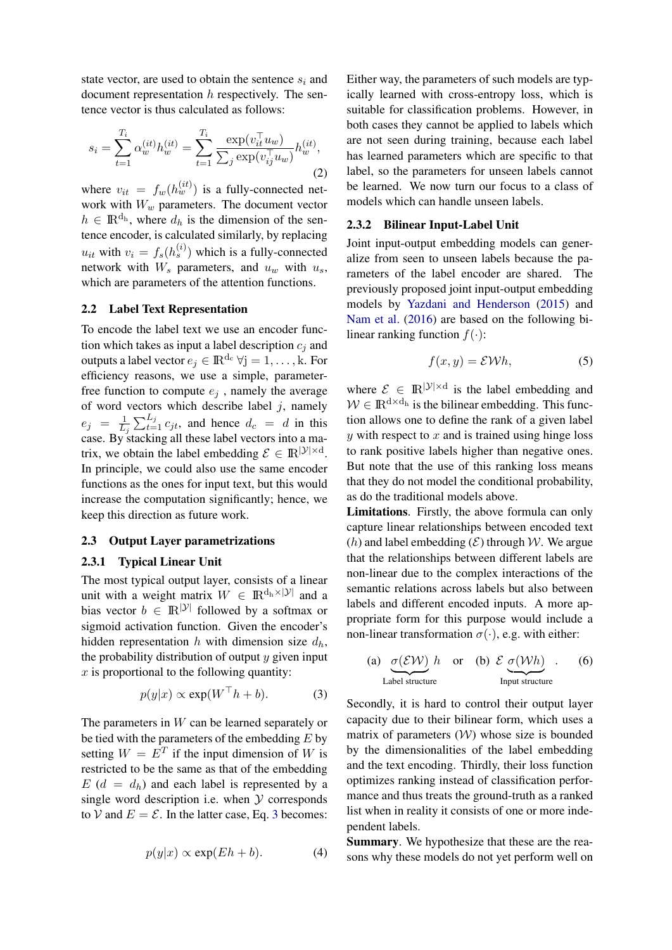state vector, are used to obtain the sentence  $s_i$  and document representation  $h$  respectively. The sentence vector is thus calculated as follows:

$$
s_i = \sum_{t=1}^{T_i} \alpha_w^{(it)} h_w^{(it)} = \sum_{t=1}^{T_i} \frac{\exp(v_{it}^\top u_w)}{\sum_j \exp(v_{ij}^\top u_w)} h_w^{(it)},\tag{2}
$$

where  $v_{it} = f_w(h_w^{(it)})$  is a fully-connected network with  $W_w$  parameters. The document vector  $h \in \mathbb{R}^{d_h}$ , where  $d_h$  is the dimension of the sentence encoder, is calculated similarly, by replacing  $u_{it}$  with  $v_i = f_s(h_s^{(i)})$  which is a fully-connected network with  $W_s$  parameters, and  $u_w$  with  $u_s$ , which are parameters of the attention functions.

#### 2.2 Label Text Representation

To encode the label text we use an encoder function which takes as input a label description  $c_i$  and outputs a label vector  $e_j \in \mathbb{R}^{d_c} \forall j = 1, \dots, k$ . For efficiency reasons, we use a simple, parameterfree function to compute  $e_i$ , namely the average of word vectors which describe label  $j$ , namely  $e_j = \frac{1}{L}$  $\frac{1}{L_j} \sum_{t=1}^{L_j} c_{jt}$ , and hence  $d_c = d$  in this case. By stacking all these label vectors into a matrix, we obtain the label embedding  $\mathcal{E} \in \mathbb{R}^{|\mathcal{Y}| \times d}$ . In principle, we could also use the same encoder functions as the ones for input text, but this would increase the computation significantly; hence, we keep this direction as future work.

# 2.3 Output Layer parametrizations

## 2.3.1 Typical Linear Unit

The most typical output layer, consists of a linear unit with a weight matrix  $W \in \mathbb{R}^{d_h \times |\mathcal{Y}|}$  and a bias vector  $b \in \mathbb{R}^{|\mathcal{Y}|}$  followed by a softmax or sigmoid activation function. Given the encoder's hidden representation h with dimension size  $d_h$ , the probability distribution of output  $y$  given input  $x$  is proportional to the following quantity:

$$
p(y|x) \propto \exp(W^\top h + b). \tag{3}
$$

The parameters in W can be learned separately or be tied with the parameters of the embedding  $E$  by setting  $W = E^T$  if the input dimension of W is restricted to be the same as that of the embedding  $E(d = d_h)$  and each label is represented by a single word description i.e. when  $Y$  corresponds to V and  $E = \mathcal{E}$ . In the latter case, Eq. [3](#page-2-0) becomes:

$$
p(y|x) \propto \exp(Eh + b). \tag{4}
$$

Either way, the parameters of such models are typically learned with cross-entropy loss, which is suitable for classification problems. However, in both cases they cannot be applied to labels which are not seen during training, because each label has learned parameters which are specific to that label, so the parameters for unseen labels cannot be learned. We now turn our focus to a class of models which can handle unseen labels.

## 2.3.2 Bilinear Input-Label Unit

Joint input-output embedding models can generalize from seen to unseen labels because the parameters of the label encoder are shared. The previously proposed joint input-output embedding models by [Yazdani and Henderson](#page-15-2) [\(2015\)](#page-15-2) and [Nam et al.](#page-14-5) [\(2016\)](#page-14-5) are based on the following bilinear ranking function  $f(\cdot)$ :

<span id="page-2-1"></span>
$$
f(x,y) = \mathcal{E} \mathcal{W} h,\tag{5}
$$

where  $\mathcal{E} \in \mathbb{R}^{|\mathcal{Y}| \times d}$  is the label embedding and  $W \in \mathbb{R}^{d \times d_h}$  is the bilinear embedding. This function allows one to define the rank of a given label  $y$  with respect to  $x$  and is trained using hinge loss to rank positive labels higher than negative ones. But note that the use of this ranking loss means that they do not model the conditional probability, as do the traditional models above.

Limitations. Firstly, the above formula can only capture linear relationships between encoded text (h) and label embedding  $(\mathcal{E})$  through W. We argue that the relationships between different labels are non-linear due to the complex interactions of the semantic relations across labels but also between labels and different encoded inputs. A more appropriate form for this purpose would include a non-linear transformation  $\sigma(\cdot)$ , e.g. with either:

<span id="page-2-2"></span>(a) 
$$
\underbrace{\sigma(\mathcal{EW})}_{\text{Label structure}} h
$$
 or (b)  $\mathcal{E} \underbrace{\sigma(\mathcal{Wh})}_{\text{Input structure}}.$  (6)

<span id="page-2-0"></span>Secondly, it is hard to control their output layer capacity due to their bilinear form, which uses a matrix of parameters  $(W)$  whose size is bounded by the dimensionalities of the label embedding and the text encoding. Thirdly, their loss function optimizes ranking instead of classification performance and thus treats the ground-truth as a ranked list when in reality it consists of one or more independent labels.

Summary. We hypothesize that these are the reasons why these models do not yet perform well on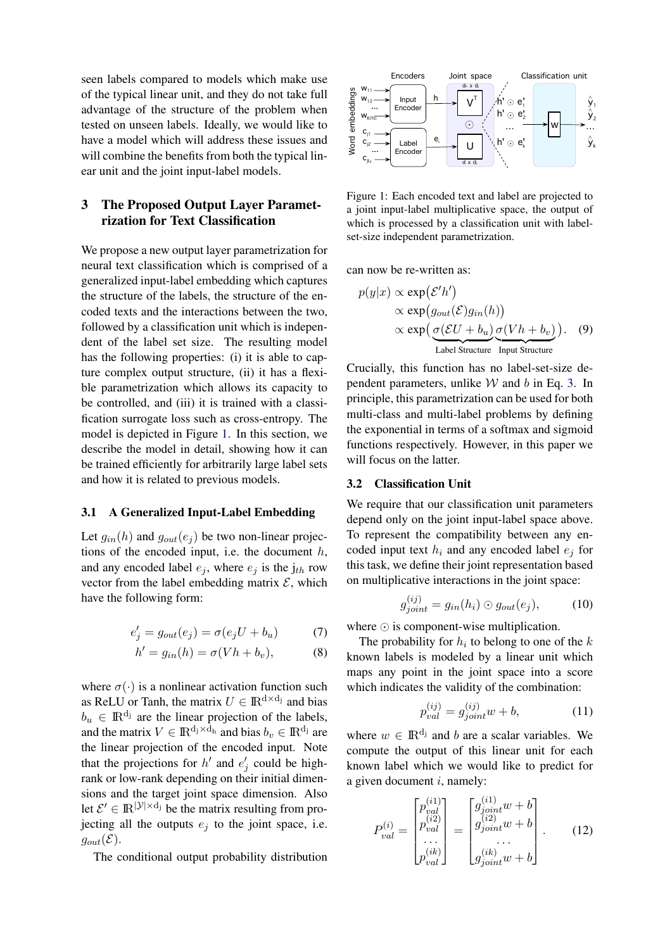seen labels compared to models which make use of the typical linear unit, and they do not take full advantage of the structure of the problem when tested on unseen labels. Ideally, we would like to have a model which will address these issues and will combine the benefits from both the typical linear unit and the joint input-label models.

# 3 The Proposed Output Layer Parametrization for Text Classification

We propose a new output layer parametrization for neural text classification which is comprised of a generalized input-label embedding which captures the structure of the labels, the structure of the encoded texts and the interactions between the two, followed by a classification unit which is independent of the label set size. The resulting model has the following properties: (i) it is able to capture complex output structure, (ii) it has a flexible parametrization which allows its capacity to be controlled, and (iii) it is trained with a classification surrogate loss such as cross-entropy. The model is depicted in Figure [1.](#page-3-0) In this section, we describe the model in detail, showing how it can be trained efficiently for arbitrarily large label sets and how it is related to previous models.

## 3.1 A Generalized Input-Label Embedding

Let  $q_{in}(h)$  and  $q_{out}(e_i)$  be two non-linear projections of the encoded input, i.e. the document  $h$ , and any encoded label  $e_i$ , where  $e_i$  is the  $j_{th}$  row vector from the label embedding matrix  $\mathcal{E}$ , which have the following form:

$$
e'_{j} = g_{out}(e_{j}) = \sigma(e_{j}U + b_{u}) \tag{7}
$$

$$
h' = g_{in}(h) = \sigma(Vh + b_v), \tag{8}
$$

where  $\sigma(\cdot)$  is a nonlinear activation function such as ReLU or Tanh, the matrix  $U \in \mathbb{R}^{d \times d_j}$  and bias  $b_u \in \mathbb{R}^{d_j}$  are the linear projection of the labels, and the matrix  $V \in \mathbb{R}^{d_j \times d_h}$  and bias  $b_v \in \mathbb{R}^{d_j}$  are the linear projection of the encoded input. Note that the projections for  $h'$  and  $e'_{j}$  could be highrank or low-rank depending on their initial dimensions and the target joint space dimension. Also let  $\mathcal{E}' \in \mathbb{R}^{|\mathcal{Y}| \times d_j}$  be the matrix resulting from projecting all the outputs  $e_i$  to the joint space, i.e.  $g_{out}(\mathcal{E}).$ 

The conditional output probability distribution



<span id="page-3-0"></span>Figure 1: Each encoded text and label are projected to a joint input-label multiplicative space, the output of which is processed by a classification unit with labelset-size independent parametrization.

can now be re-written as:

<span id="page-3-1"></span>
$$
p(y|x) \propto \exp(\mathcal{E}'h')
$$
  
 
$$
\propto \exp(g_{out}(\mathcal{E})g_{in}(h))
$$
  
 
$$
\propto \exp\left(\underbrace{\sigma(\mathcal{E}U+b_u)}_{\text{Label Structure}}\underbrace{\sigma(Vh+b_v)}_{\text{Input Structure}}\right). \quad (9)
$$

Crucially, this function has no label-set-size dependent parameters, unlike  $W$  and  $b$  in Eq. [3.](#page-2-0) In principle, this parametrization can be used for both multi-class and multi-label problems by defining the exponential in terms of a softmax and sigmoid functions respectively. However, in this paper we will focus on the latter.

#### 3.2 Classification Unit

We require that our classification unit parameters depend only on the joint input-label space above. To represent the compatibility between any encoded input text  $h_i$  and any encoded label  $e_i$  for this task, we define their joint representation based on multiplicative interactions in the joint space:

<span id="page-3-3"></span>
$$
g_{joint}^{(ij)} = g_{in}(h_i) \odot g_{out}(e_j), \qquad (10)
$$

where  $\odot$  is component-wise multiplication.

The probability for  $h_i$  to belong to one of the  $k$ known labels is modeled by a linear unit which maps any point in the joint space into a score which indicates the validity of the combination:

<span id="page-3-2"></span>
$$
p_{val}^{(ij)} = g_{joint}^{(ij)}w + b,
$$
 (11)

where  $w \in \mathbb{R}^{d_j}$  and b are a scalar variables. We compute the output of this linear unit for each known label which we would like to predict for a given document  $i$ , namely:

$$
P_{val}^{(i)} = \begin{bmatrix} p_{val}^{(i1)} \\ p_{val}^{(i2)} \\ \dots \\ p_{val}^{(ik)} \end{bmatrix} = \begin{bmatrix} g_{joint}^{(i1)}w + b \\ g_{joint}^{(i2)}w + b \\ \dots \\ g_{joint}^{(ik)}w + b \end{bmatrix} .
$$
 (12)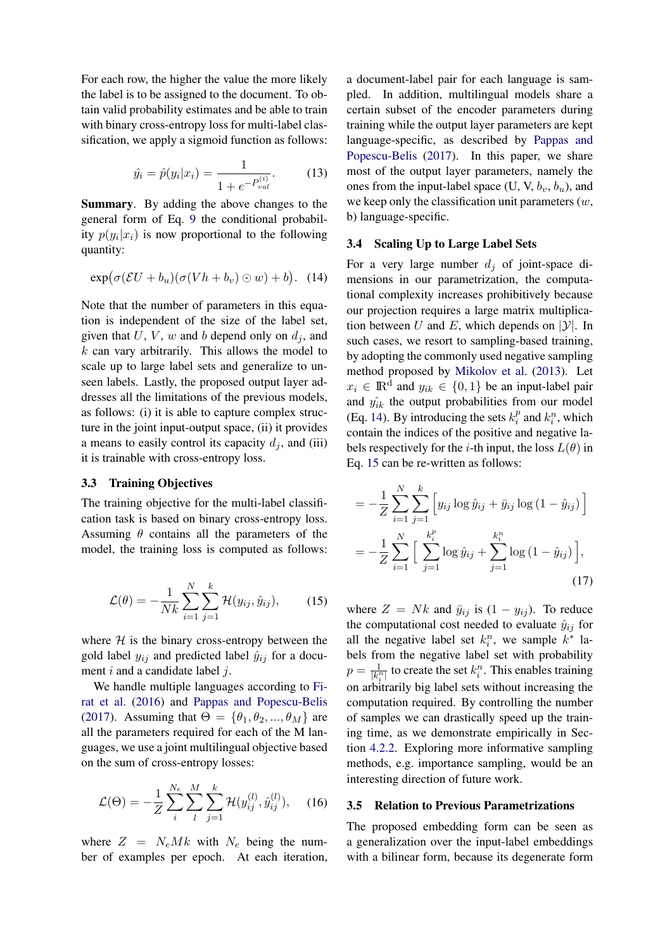For each row, the higher the value the more likely the label is to be assigned to the document. To obtain valid probability estimates and be able to train with binary cross-entropy loss for multi-label classification, we apply a sigmoid function as follows:

$$
\hat{y}_i = \hat{p}(y_i|x_i) = \frac{1}{1 + e^{-P_{val}^{(i)}}}. \tag{13}
$$

Summary. By adding the above changes to the general form of Eq. [9](#page-3-1) the conditional probability  $p(y_i|x_i)$  is now proportional to the following quantity:

<span id="page-4-0"></span>
$$
\exp(\sigma(\mathcal{E}U+b_u)(\sigma(Vh+b_v)\odot w)+b). \quad (14)
$$

Note that the number of parameters in this equation is independent of the size of the label set, given that  $U, V, w$  and b depend only on  $d_i$ , and  $k$  can vary arbitrarily. This allows the model to scale up to large label sets and generalize to unseen labels. Lastly, the proposed output layer addresses all the limitations of the previous models, as follows: (i) it is able to capture complex structure in the joint input-output space, (ii) it provides a means to easily control its capacity  $d_i$ , and (iii) it is trainable with cross-entropy loss.

#### 3.3 Training Objectives

The training objective for the multi-label classification task is based on binary cross-entropy loss. Assuming  $\theta$  contains all the parameters of the model, the training loss is computed as follows:

<span id="page-4-1"></span>
$$
\mathcal{L}(\theta) = -\frac{1}{Nk} \sum_{i=1}^{N} \sum_{j=1}^{k} \mathcal{H}(y_{ij}, \hat{y}_{ij}), \qquad (15)
$$

where  $H$  is the binary cross-entropy between the gold label  $y_{ij}$  and predicted label  $\hat{y}_{ij}$  for a document  $i$  and a candidate label  $j$ .

We handle multiple languages according to [Fi](#page-13-4)[rat et al.](#page-13-4) [\(2016\)](#page-13-4) and [Pappas and Popescu-Belis](#page-14-6) [\(2017\)](#page-14-6). Assuming that  $\Theta = {\theta_1, \theta_2, ..., \theta_M}$  are all the parameters required for each of the M languages, we use a joint multilingual objective based on the sum of cross-entropy losses:

$$
\mathcal{L}(\Theta) = -\frac{1}{Z} \sum_{i}^{N_e} \sum_{l}^{M} \sum_{j=1}^{k} \mathcal{H}(y_{ij}^{(l)}, \hat{y}_{ij}^{(l)}), \quad (16)
$$

where  $Z = N_e M k$  with  $N_e$  being the number of examples per epoch. At each iteration,

a document-label pair for each language is sampled. In addition, multilingual models share a certain subset of the encoder parameters during training while the output layer parameters are kept language-specific, as described by [Pappas and](#page-14-6) [Popescu-Belis](#page-14-6) [\(2017\)](#page-14-6). In this paper, we share most of the output layer parameters, namely the ones from the input-label space (U, V,  $b_v$ ,  $b_u$ ), and we keep only the classification unit parameters  $(w,$ b) language-specific.

## 3.4 Scaling Up to Large Label Sets

For a very large number  $d_i$  of joint-space dimensions in our parametrization, the computational complexity increases prohibitively because our projection requires a large matrix multiplication between U and E, which depends on  $|y|$ . In such cases, we resort to sampling-based training, by adopting the commonly used negative sampling method proposed by [Mikolov et al.](#page-14-7) [\(2013\)](#page-14-7). Let  $x_i \in \mathbb{R}^d$  and  $y_{ik} \in \{0, 1\}$  be an input-label pair and  $\hat{y_{ik}}$  the output probabilities from our model (Eq. [14\)](#page-4-0). By introducing the sets  $k_i^p$  $i$ <sup>*n*</sup> and  $k$ <sup>*n*</sup></sup>, which contain the indices of the positive and negative labels respectively for the *i*-th input, the loss  $L(\theta)$  in Eq. [15](#page-4-1) can be re-written as follows:

$$
= -\frac{1}{Z} \sum_{i=1}^{N} \sum_{j=1}^{k} \left[ y_{ij} \log \hat{y}_{ij} + \bar{y}_{ij} \log (1 - \hat{y}_{ij}) \right]
$$

$$
= -\frac{1}{Z} \sum_{i=1}^{N} \left[ \sum_{j=1}^{k_i^p} \log \hat{y}_{ij} + \sum_{j=1}^{k_i^p} \log (1 - \hat{y}_{ij}) \right],
$$
(17)

where  $Z = Nk$  and  $\bar{y}_{ij}$  is  $(1 - y_{ij})$ . To reduce the computational cost needed to evaluate  $\hat{y}_{ij}$  for all the negative label set  $k_i^n$ , we sample  $k^*$  labels from the negative label set with probability  $p=\frac{1}{\ln^2}$  $\frac{1}{|k_i^n|}$  to create the set  $k_i^n$ . This enables training on arbitrarily big label sets without increasing the computation required. By controlling the number of samples we can drastically speed up the training time, as we demonstrate empirically in Section [4.2.2.](#page-10-0) Exploring more informative sampling methods, e.g. importance sampling, would be an interesting direction of future work.

#### 3.5 Relation to Previous Parametrizations

The proposed embedding form can be seen as a generalization over the input-label embeddings with a bilinear form, because its degenerate form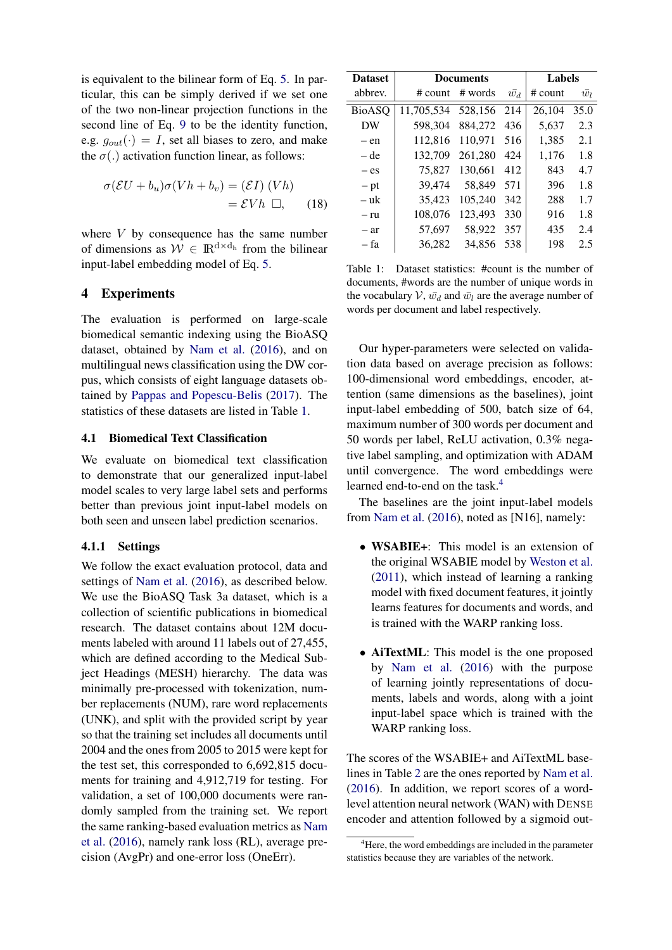is equivalent to the bilinear form of Eq. [5.](#page-2-1) In particular, this can be simply derived if we set one of the two non-linear projection functions in the second line of Eq. [9](#page-3-1) to be the identity function, e.g.  $g_{out}(\cdot) = I$ , set all biases to zero, and make the  $\sigma(.)$  activation function linear, as follows:

$$
\sigma(\mathcal{E}U + b_u)\sigma(Vh + b_v) = (\mathcal{E}I) (Vh)
$$
  
=  $\mathcal{E}Vh \ \Box,$  (18)

where  $V$  by consequence has the same number of dimensions as  $W \in \mathbb{R}^{d \times d_h}$  from the bilinear input-label embedding model of Eq. [5.](#page-2-1)

## 4 Experiments

The evaluation is performed on large-scale biomedical semantic indexing using the BioASQ dataset, obtained by [Nam et al.](#page-14-5) [\(2016\)](#page-14-5), and on multilingual news classification using the DW corpus, which consists of eight language datasets obtained by [Pappas and Popescu-Belis](#page-14-6) [\(2017\)](#page-14-6). The statistics of these datasets are listed in Table [1.](#page-5-0)

### <span id="page-5-2"></span>4.1 Biomedical Text Classification

We evaluate on biomedical text classification to demonstrate that our generalized input-label model scales to very large label sets and performs better than previous joint input-label models on both seen and unseen label prediction scenarios.

#### 4.1.1 Settings

We follow the exact evaluation protocol, data and settings of [Nam et al.](#page-14-5) [\(2016\)](#page-14-5), as described below. We use the BioASQ Task 3a dataset, which is a collection of scientific publications in biomedical research. The dataset contains about 12M documents labeled with around 11 labels out of 27,455, which are defined according to the Medical Subject Headings (MESH) hierarchy. The data was minimally pre-processed with tokenization, number replacements (NUM), rare word replacements (UNK), and split with the provided script by year so that the training set includes all documents until 2004 and the ones from 2005 to 2015 were kept for the test set, this corresponded to 6,692,815 documents for training and 4,912,719 for testing. For validation, a set of 100,000 documents were randomly sampled from the training set. We report the same ranking-based evaluation metrics as [Nam](#page-14-5) [et al.](#page-14-5) [\(2016\)](#page-14-5), namely rank loss (RL), average precision (AvgPr) and one-error loss (OneErr).

| <b>Dataset</b> |            | <b>Documents</b> | <b>Labels</b> |           |             |
|----------------|------------|------------------|---------------|-----------|-------------|
| abbrev.        | $#$ count  | # words          | $\bar{w_d}$   | $#$ count | $\bar{w_l}$ |
| <b>BioASQ</b>  | 11,705,534 | 528.156          | 214           | 26.104    | 35.0        |
| DW             | 598,304    | 884,272          | 436           | 5,637     | 2.3         |
| – en           | 112,816    | 110,971          | 516           | 1,385     | 2.1         |
| – de           | 132,709    | 261,280          | 424           | 1,176     | 1.8         |
| $-$ es         | 75,827     | 130,661          | 412           | 843       | 4.7         |
| $- pt$         | 39,474     | 58.849           | 571           | 396       | 1.8         |
| – uk           | 35.423     | 105,240          | 342           | 288       | 1.7         |
| – ru           | 108,076    | 123,493          | 330           | 916       | 1.8         |
| - ar           | 57,697     | 58,922           | 357           | 435       | 2.4         |
| – fa           | 36,282     | 34,856           | 538           | 198       | 2.5         |

<span id="page-5-0"></span>Table 1: Dataset statistics: #count is the number of documents, #words are the number of unique words in the vocabulary  $V$ ,  $\bar{w_d}$  and  $\bar{w_l}$  are the average number of words per document and label respectively.

Our hyper-parameters were selected on validation data based on average precision as follows: 100-dimensional word embeddings, encoder, attention (same dimensions as the baselines), joint input-label embedding of 500, batch size of 64, maximum number of 300 words per document and 50 words per label, ReLU activation, 0.3% negative label sampling, and optimization with ADAM until convergence. The word embeddings were learned end-to-end on the task.<sup>[4](#page-5-1)</sup>

The baselines are the joint input-label models from [Nam et al.](#page-14-5) [\(2016\)](#page-14-5), noted as [N16], namely:

- WSABIE+: This model is an extension of the original WSABIE model by [Weston et al.](#page-15-1) [\(2011\)](#page-15-1), which instead of learning a ranking model with fixed document features, it jointly learns features for documents and words, and is trained with the WARP ranking loss.
- AiTextML: This model is the one proposed by [Nam et al.](#page-14-5) [\(2016\)](#page-14-5) with the purpose of learning jointly representations of documents, labels and words, along with a joint input-label space which is trained with the WARP ranking loss.

The scores of the WSABIE+ and AiTextML baselines in Table [2](#page-6-0) are the ones reported by [Nam et al.](#page-14-5) [\(2016\)](#page-14-5). In addition, we report scores of a wordlevel attention neural network (WAN) with DENSE encoder and attention followed by a sigmoid out-

<span id="page-5-1"></span><sup>&</sup>lt;sup>4</sup>Here, the word embeddings are included in the parameter statistics because they are variables of the network.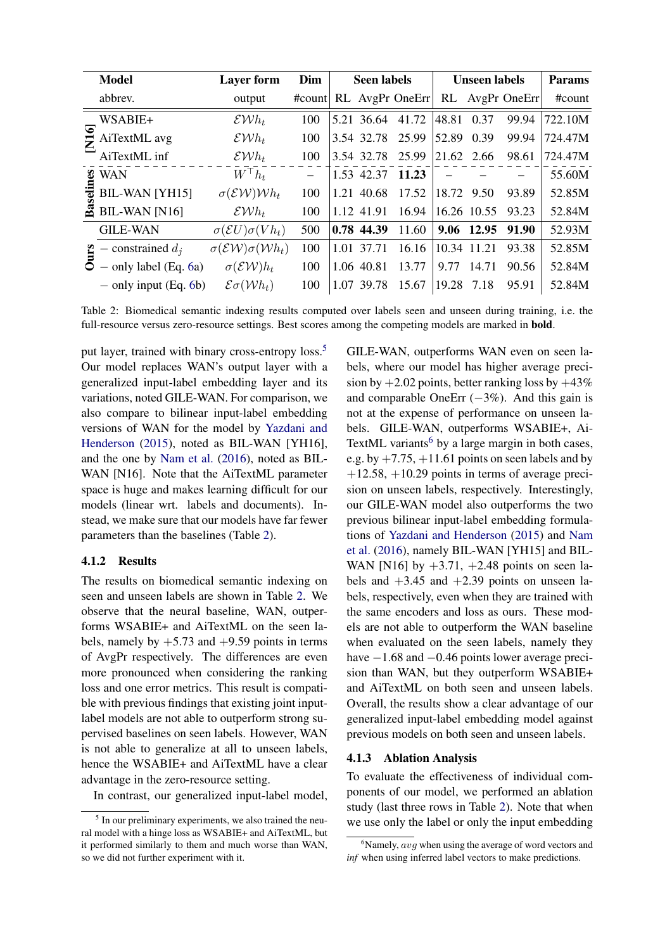|          | <b>Model</b>                       | <b>Layer form</b>                                  | Dim    | <b>Seen labels</b> |            |                   | <b>Unseen labels</b> | <b>Params</b> |                 |         |
|----------|------------------------------------|----------------------------------------------------|--------|--------------------|------------|-------------------|----------------------|---------------|-----------------|---------|
|          | abbrev.                            | output                                             | #count |                    |            | $RL$ AvgPr OneErr |                      |               | RL AvgPr OneErr | #count  |
|          | WSABIE+                            | $\mathcal{E} \mathcal{W} h_t$                      | 100    |                    | 5.21 36.64 | 41.72             | 48.81                | 0.37          | 99.94           | 722.10M |
|          | $\sum_{i=1}^{\infty}$ AiTextML avg | $\mathcal{E} \mathcal{W} h_t$                      | 100    |                    | 3.54 32.78 | 25.99             | 52.89                | 0.39          | 99.94           | 724.47M |
|          | AiTextML inf                       | $\mathcal{E} \mathcal{W} h_t$                      | 100    |                    | 3.54 32.78 | 25.99             | 21.62 2.66           |               | 98.61           | 724.47M |
| æ        | <b>WAN</b>                         | $W^\top h_t$                                       |        |                    |            | 1.53 42.37 11.23  |                      |               |                 | 55.60M  |
|          | $\frac{1}{8}$ BIL-WAN [YH15]       | $\sigma$ (EW)Wh <sub>t</sub>                       | 100    |                    | 1.21 40.68 | 17.52             | 18.72                | 9.50          | 93.89           | 52.85M  |
| జె       | <b>BIL-WAN [N16]</b>               | $\mathcal{E} \mathcal{W} h_t$                      | 100    |                    | 1.12 41.91 | 16.94             |                      | 16.26 10.55   | 93.23           | 52.84M  |
|          | <b>GILE-WAN</b>                    | $\sigma$ ( <i>EU</i> ) $\sigma$ ( <i>V</i> $h_t$ ) | 500    |                    | 0.78 44.39 | 11.60             |                      | 9.06 12.95    | 91.90           | 52.93M  |
| <u>ی</u> | - constrained $d_i$                | $\sigma$ (EW) $\sigma$ (Wh <sub>t</sub> )          | 100    | 1.01               | 37.71      | 16.16             |                      | 10.34 11.21   | 93.38           | 52.85M  |
|          | $-$ only label (Eq. 6a)            | $\sigma$ (EW) $h_t$                                | 100    |                    | 1.06 40.81 | 13.77             | 9.77                 | 14.71         | 90.56           | 52.84M  |
|          | $-$ only input (Eq. 6b)            | $\mathcal{E}\sigma(\mathcal{W}h_t)$                | 100    | 1.07               | 39.78      | 15.67             | 19.28                | 7.18          | 95.91           | 52.84M  |

<span id="page-6-0"></span>Table 2: Biomedical semantic indexing results computed over labels seen and unseen during training, i.e. the full-resource versus zero-resource settings. Best scores among the competing models are marked in bold.

put layer, trained with binary cross-entropy loss.<sup>[5](#page-6-1)</sup> Our model replaces WAN's output layer with a generalized input-label embedding layer and its variations, noted GILE-WAN. For comparison, we also compare to bilinear input-label embedding versions of WAN for the model by [Yazdani and](#page-15-2) [Henderson](#page-15-2) [\(2015\)](#page-15-2), noted as BIL-WAN [YH16], and the one by [Nam et al.](#page-14-5) [\(2016\)](#page-14-5), noted as BIL-WAN [N16]. Note that the AiTextML parameter space is huge and makes learning difficult for our models (linear wrt. labels and documents). Instead, we make sure that our models have far fewer parameters than the baselines (Table [2\)](#page-6-0).

## 4.1.2 Results

The results on biomedical semantic indexing on seen and unseen labels are shown in Table [2.](#page-6-0) We observe that the neural baseline, WAN, outperforms WSABIE+ and AiTextML on the seen labels, namely by  $+5.73$  and  $+9.59$  points in terms of AvgPr respectively. The differences are even more pronounced when considering the ranking loss and one error metrics. This result is compatible with previous findings that existing joint inputlabel models are not able to outperform strong supervised baselines on seen labels. However, WAN is not able to generalize at all to unseen labels, hence the WSABIE+ and AiTextML have a clear advantage in the zero-resource setting.

In contrast, our generalized input-label model,

GILE-WAN, outperforms WAN even on seen labels, where our model has higher average precision by  $+2.02$  points, better ranking loss by  $+43\%$ and comparable OneErr  $(-3%)$ . And this gain is not at the expense of performance on unseen labels. GILE-WAN, outperforms WSABIE+, Ai-TextML variants<sup>[6](#page-6-2)</sup> by a large margin in both cases, e.g. by  $+7.75$ ,  $+11.61$  points on seen labels and by  $+12.58$ ,  $+10.29$  points in terms of average precision on unseen labels, respectively. Interestingly, our GILE-WAN model also outperforms the two previous bilinear input-label embedding formulations of [Yazdani and Henderson](#page-15-2) [\(2015\)](#page-15-2) and [Nam](#page-14-5) [et al.](#page-14-5) [\(2016\)](#page-14-5), namely BIL-WAN [YH15] and BIL-WAN [N16] by  $+3.71$ ,  $+2.48$  points on seen labels and  $+3.45$  and  $+2.39$  points on unseen labels, respectively, even when they are trained with the same encoders and loss as ours. These models are not able to outperform the WAN baseline when evaluated on the seen labels, namely they have −1.68 and −0.46 points lower average precision than WAN, but they outperform WSABIE+ and AiTextML on both seen and unseen labels. Overall, the results show a clear advantage of our generalized input-label embedding model against previous models on both seen and unseen labels.

# 4.1.3 Ablation Analysis

To evaluate the effectiveness of individual components of our model, we performed an ablation study (last three rows in Table [2\)](#page-6-0). Note that when we use only the label or only the input embedding

<span id="page-6-1"></span><sup>&</sup>lt;sup>5</sup> In our preliminary experiments, we also trained the neural model with a hinge loss as WSABIE+ and AiTextML, but it performed similarly to them and much worse than WAN, so we did not further experiment with it.

<span id="page-6-2"></span> $6$ Namely,  $avg$  when using the average of word vectors and *inf* when using inferred label vectors to make predictions.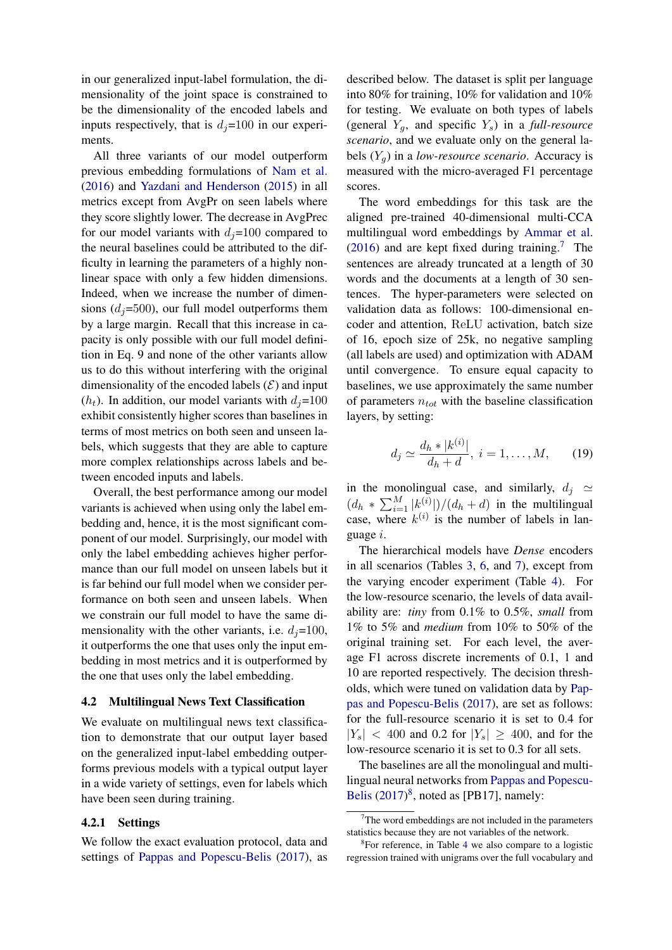in our generalized input-label formulation, the dimensionality of the joint space is constrained to be the dimensionality of the encoded labels and inputs respectively, that is  $d_i=100$  in our experiments.

All three variants of our model outperform previous embedding formulations of [Nam et al.](#page-14-5) [\(2016\)](#page-14-5) and [Yazdani and Henderson](#page-15-2) [\(2015\)](#page-15-2) in all metrics except from AvgPr on seen labels where they score slightly lower. The decrease in AvgPrec for our model variants with  $d_i=100$  compared to the neural baselines could be attributed to the difficulty in learning the parameters of a highly nonlinear space with only a few hidden dimensions. Indeed, when we increase the number of dimensions  $(d_i=500)$ , our full model outperforms them by a large margin. Recall that this increase in capacity is only possible with our full model definition in Eq. 9 and none of the other variants allow us to do this without interfering with the original dimensionality of the encoded labels  $(\mathcal{E})$  and input  $(h_t)$ . In addition, our model variants with  $d_i=100$ exhibit consistently higher scores than baselines in terms of most metrics on both seen and unseen labels, which suggests that they are able to capture more complex relationships across labels and between encoded inputs and labels.

Overall, the best performance among our model variants is achieved when using only the label embedding and, hence, it is the most significant component of our model. Surprisingly, our model with only the label embedding achieves higher performance than our full model on unseen labels but it is far behind our full model when we consider performance on both seen and unseen labels. When we constrain our full model to have the same dimensionality with the other variants, i.e.  $d_i=100$ , it outperforms the one that uses only the input embedding in most metrics and it is outperformed by the one that uses only the label embedding.

#### 4.2 Multilingual News Text Classification

We evaluate on multilingual news text classification to demonstrate that our output layer based on the generalized input-label embedding outperforms previous models with a typical output layer in a wide variety of settings, even for labels which have been seen during training.

## 4.2.1 Settings

We follow the exact evaluation protocol, data and settings of [Pappas and Popescu-Belis](#page-14-6) [\(2017\)](#page-14-6), as

described below. The dataset is split per language into 80% for training, 10% for validation and 10% for testing. We evaluate on both types of labels (general  $Y_q$ , and specific  $Y_s$ ) in a *full-resource scenario*, and we evaluate only on the general labels  $(Y_a)$  in a *low-resource scenario*. Accuracy is measured with the micro-averaged F1 percentage scores.

The word embeddings for this task are the aligned pre-trained 40-dimensional multi-CCA multilingual word embeddings by [Ammar et al.](#page-12-1)  $(2016)$  and are kept fixed during training.<sup>[7](#page-7-0)</sup> The sentences are already truncated at a length of 30 words and the documents at a length of 30 sentences. The hyper-parameters were selected on validation data as follows: 100-dimensional encoder and attention, ReLU activation, batch size of 16, epoch size of 25k, no negative sampling (all labels are used) and optimization with ADAM until convergence. To ensure equal capacity to baselines, we use approximately the same number of parameters  $n_{tot}$  with the baseline classification layers, by setting:

$$
d_j \simeq \frac{d_h * |k^{(i)}|}{d_h + d}, \ i = 1, \dots, M, \qquad (19)
$$

in the monolingual case, and similarly,  $d_i \simeq$  $(d_h * \sum_{i=1}^{M} |k_{i,j}^{(i)}|)/(d_h + d)$  in the multilingual case, where  $k^{(i)}$  is the number of labels in language i.

The hierarchical models have *Dense* encoders in all scenarios (Tables [3,](#page-8-0) [6,](#page-10-1) and [7\)](#page-10-0), except from the varying encoder experiment (Table [4\)](#page-9-0). For the low-resource scenario, the levels of data availability are: *tiny* from 0.1% to 0.5%, *small* from 1% to 5% and *medium* from 10% to 50% of the original training set. For each level, the average F1 across discrete increments of 0.1, 1 and 10 are reported respectively. The decision thresholds, which were tuned on validation data by [Pap](#page-14-6)[pas and Popescu-Belis](#page-14-6) [\(2017\)](#page-14-6), are set as follows: for the full-resource scenario it is set to 0.4 for  $|Y_s|$  < 400 and 0.2 for  $|Y_s| \geq 400$ , and for the low-resource scenario it is set to 0.3 for all sets.

The baselines are all the monolingual and multilingual neural networks from [Pappas and Popescu-](#page-14-6)[Belis](#page-14-6) [\(2017\)](#page-14-6)<sup>[8](#page-7-1)</sup>, noted as [PB17], namely:

<span id="page-7-0"></span> $7$ The word embeddings are not included in the parameters statistics because they are not variables of the network.

<span id="page-7-1"></span><sup>8</sup> For reference, in Table [4](#page-9-0) we also compare to a logistic regression trained with unigrams over the full vocabulary and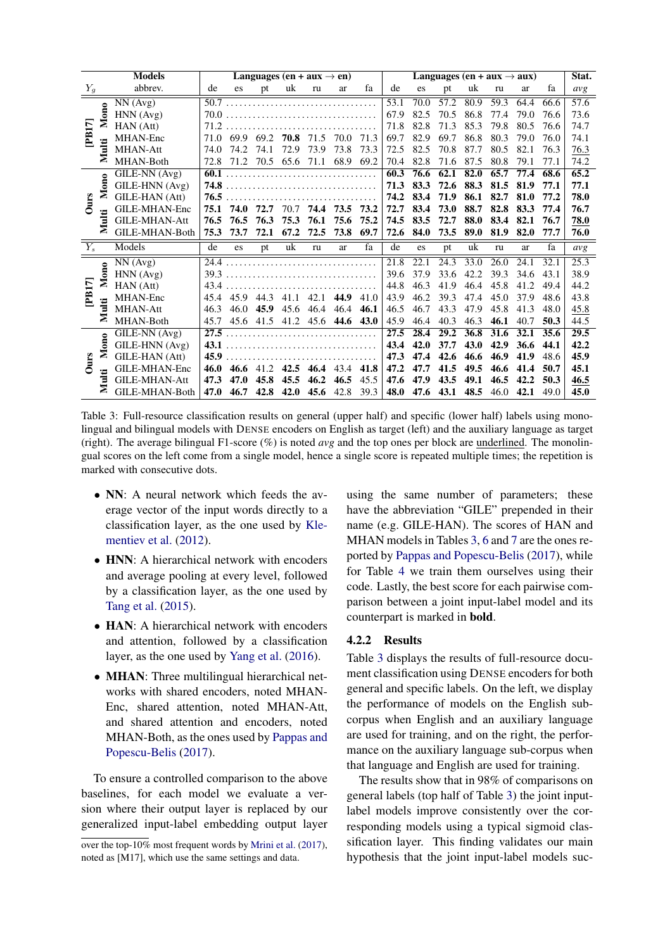|             |       | <b>Models</b>        | Languages (en + aux $\rightarrow$ en) |      |      |      |      |           | Languages (en + aux $\rightarrow$ aux) |      |      |      |      |      | Stat. |      |      |
|-------------|-------|----------------------|---------------------------------------|------|------|------|------|-----------|----------------------------------------|------|------|------|------|------|-------|------|------|
| $Y_g$       |       | abbrev.              | de                                    | es   | pt   | uk   | ru   | ar        | fa                                     | de   | es   | pt   | uk   | ru   | ar    | fa   | avg  |
| <b>PB17</b> |       | NN(Avg)              | 50.7                                  |      |      |      |      |           |                                        | 53.1 | 70.0 | 57.2 | 80.9 | 59.3 | 64.4  | 66.6 | 57.6 |
|             | Mono  | HNN(Avg)             | 70.0                                  |      |      |      |      |           |                                        | 67.9 | 82.5 | 70.5 | 86.8 | 77.4 | 79.0  | 76.6 | 73.6 |
|             |       | HAN (Att)            | 71.2                                  |      |      |      |      |           |                                        | 71.8 | 82.8 | 71.3 | 85.3 | 79.8 | 80.5  | 76.6 | 74.7 |
|             |       | MHAN-Enc             | 71.0                                  | 69.9 | 69.2 | 70.8 | 71.5 | 70.0      | 71.3                                   | 69.7 | 82.9 | 69.7 | 86.8 | 80.3 | 79.0  | 76.0 | 74.1 |
|             | Multi | <b>MHAN-Att</b>      | 74.0                                  | 74.2 | 74.1 | 72.9 | 73.9 | 73.8      | 73.3                                   | 72.5 | 82.5 | 70.8 | 87.7 | 80.5 | 82.1  | 76.3 | 76.3 |
|             |       | MHAN-Both            | 72.8                                  | 71.2 | 70.5 | 65.6 | 71.1 | 68.9      | 69.2                                   | 70.4 | 82.8 | 71.6 | 87.5 | 80.8 | 79.1  | 77.1 | 74.2 |
|             |       | GILE-NN (Avg)        | 60.1                                  |      |      |      |      |           |                                        | 60.3 | 76.6 | 62.1 | 82.0 | 65.7 | 77.4  | 68.6 | 65.2 |
|             | Mono  | GILE-HNN (Avg)       | 74.8                                  |      |      |      |      |           |                                        | 71.3 | 83.3 | 72.6 | 88.3 | 81.5 | 81.9  | 77.1 | 77.1 |
| Ours        |       | GILE-HAN (Att)       | 76.5                                  |      |      |      |      |           |                                        | 74.2 | 83.4 | 71.9 | 86.1 | 82.7 | 81.0  | 77.2 | 78.0 |
|             |       | GILE-MHAN-Enc        | 75.1                                  | 74.0 | 72.7 | 70.7 | 74.4 | 73.5      | 73.2                                   | 72.7 | 83.4 | 73.0 | 88.7 | 82.8 | 83.3  | 77.4 | 76.7 |
|             | Multi | <b>GILE-MHAN-Att</b> | 76.5                                  | 76.5 | 76.3 | 75.3 | 76.1 | 75.6      | 75.2                                   | 74.5 | 83.5 | 72.7 | 88.0 | 83.4 | 82.1  | 76.7 | 78.0 |
|             |       | GILE-MHAN-Both       | 75.3                                  | 73.7 | 72.1 | 67.2 | 72.5 | 73.8      | 69.7                                   | 72.6 | 84.0 | 73.5 | 89.0 | 81.9 | 82.0  | 77.7 | 76.0 |
| $Y_s$       |       | Models               | de                                    | es   | pt   | uk   | ru   | ar        | fa                                     | de   | es   | pt   | uk   | ru   | ar    | fa   | avg  |
|             |       | NN(Avg)              | 24.4                                  |      |      |      |      |           |                                        | 21.8 | 22.1 | 24.3 | 33.0 | 26.0 | 24.1  | 32.1 | 25.3 |
|             | Mono  | HNN(Avg)             | 39.3                                  |      |      |      |      |           |                                        | 39.6 | 37.9 | 33.6 | 42.2 | 39.3 | 34.6  | 43.1 | 38.9 |
| <b>PB17</b> |       | HAN (Att)            | 43.4                                  |      |      |      |      |           |                                        | 44.8 | 46.3 | 41.9 | 46.4 | 45.8 | 41.2  | 49.4 | 44.2 |
|             |       | MHAN-Enc             | 45.4                                  | 45.9 | 44.3 | 41.1 | 42.1 | 44.9      | 41.0                                   | 43.9 | 46.2 | 39.3 | 47.4 | 45.0 | 37.9  | 48.6 | 43.8 |
|             | Multi | <b>MHAN-Att</b>      | 46.3                                  | 46.0 | 45.9 | 45.6 | 46.4 | 46.4      | 46.1                                   | 46.5 | 46.7 | 43.3 | 47.9 | 45.8 | 41.3  | 48.0 | 45.8 |
|             |       | MHAN-Both            | 45.7                                  | 45.6 | 41.5 | 41.2 | 45.6 | 44.6      | 43.0                                   | 45.9 | 46.4 | 40.3 | 46.3 | 46.1 | 40.7  | 50.3 | 44.5 |
|             |       | GILE-NN (Avg)        | 27.5                                  |      |      |      |      |           |                                        | 27.5 | 28.4 | 29.2 | 36.8 | 31.6 | 32.1  | 35.6 | 29.5 |
|             | Mono  | GILE-HNN (Avg)       | 43.1                                  |      |      |      |      |           |                                        | 43.4 | 42.0 | 37.7 | 43.0 | 42.9 | 36.6  | 44.1 | 42.2 |
| Ours        |       | GILE-HAN (Att)       | 45.9                                  |      |      |      |      |           |                                        | 47.3 | 47.4 | 42.6 | 46.6 | 46.9 | 41.9  | 48.6 | 45.9 |
|             |       | GILE-MHAN-Enc        | 46.0                                  | 46.6 | 41.2 | 42.5 |      | 46.4 43.4 | 41.8                                   | 47.2 | 47.7 | 41.5 | 49.5 | 46.6 | 41.4  | 50.7 | 45.1 |
|             | Multi | <b>GILE-MHAN-Att</b> | 47.3                                  | 47.0 | 45.8 | 45.5 | 46.2 | 46.5      | 45.5                                   | 47.6 | 47.9 | 43.5 | 49.1 | 46.5 | 42.2  | 50.3 | 46.5 |
|             |       | GILE-MHAN-Both       | 47.0                                  | 46.7 | 42.8 | 42.0 | 45.6 | 42.8      | 39.3                                   | 48.0 | 47.6 | 43.1 | 48.5 | 46.0 | 42.1  | 49.0 | 45.0 |

<span id="page-8-0"></span>Table 3: Full-resource classification results on general (upper half) and specific (lower half) labels using monolingual and bilingual models with DENSE encoders on English as target (left) and the auxiliary language as target (right). The average bilingual F1-score  $(\%)$  is noted  $\alpha vg$  and the top ones per block are underlined. The monolingual scores on the left come from a single model, hence a single score is repeated multiple times; the repetition is marked with consecutive dots.

- NN: A neural network which feeds the average vector of the input words directly to a classification layer, as the one used by [Kle](#page-13-5)[mentiev et al.](#page-13-5) [\(2012\)](#page-13-5).
- HNN: A hierarchical network with encoders and average pooling at every level, followed by a classification layer, as the one used by [Tang et al.](#page-14-0) [\(2015\)](#page-14-0).
- HAN: A hierarchical network with encoders and attention, followed by a classification layer, as the one used by [Yang et al.](#page-15-0) [\(2016\)](#page-15-0).
- **MHAN**: Three multilingual hierarchical networks with shared encoders, noted MHAN-Enc, shared attention, noted MHAN-Att, and shared attention and encoders, noted MHAN-Both, as the ones used by [Pappas and](#page-14-6) [Popescu-Belis](#page-14-6) [\(2017\)](#page-14-6).

To ensure a controlled comparison to the above baselines, for each model we evaluate a version where their output layer is replaced by our generalized input-label embedding output layer

using the same number of parameters; these have the abbreviation "GILE" prepended in their name (e.g. GILE-HAN). The scores of HAN and MHAN models in Tables [3,](#page-8-0) [6](#page-10-1) and [7](#page-10-0) are the ones reported by [Pappas and Popescu-Belis](#page-14-6) [\(2017\)](#page-14-6), while for Table [4](#page-9-0) we train them ourselves using their code. Lastly, the best score for each pairwise comparison between a joint input-label model and its counterpart is marked in bold.

## 4.2.2 Results

Table [3](#page-8-0) displays the results of full-resource document classification using DENSE encoders for both general and specific labels. On the left, we display the performance of models on the English subcorpus when English and an auxiliary language are used for training, and on the right, the performance on the auxiliary language sub-corpus when that language and English are used for training.

The results show that in 98% of comparisons on general labels (top half of Table [3\)](#page-8-0) the joint inputlabel models improve consistently over the corresponding models using a typical sigmoid classification layer. This finding validates our main hypothesis that the joint input-label models suc-

over the top-10% most frequent words by [Mrini et al.](#page-14-8) [\(2017\)](#page-14-8), noted as [M17], which use the same settings and data.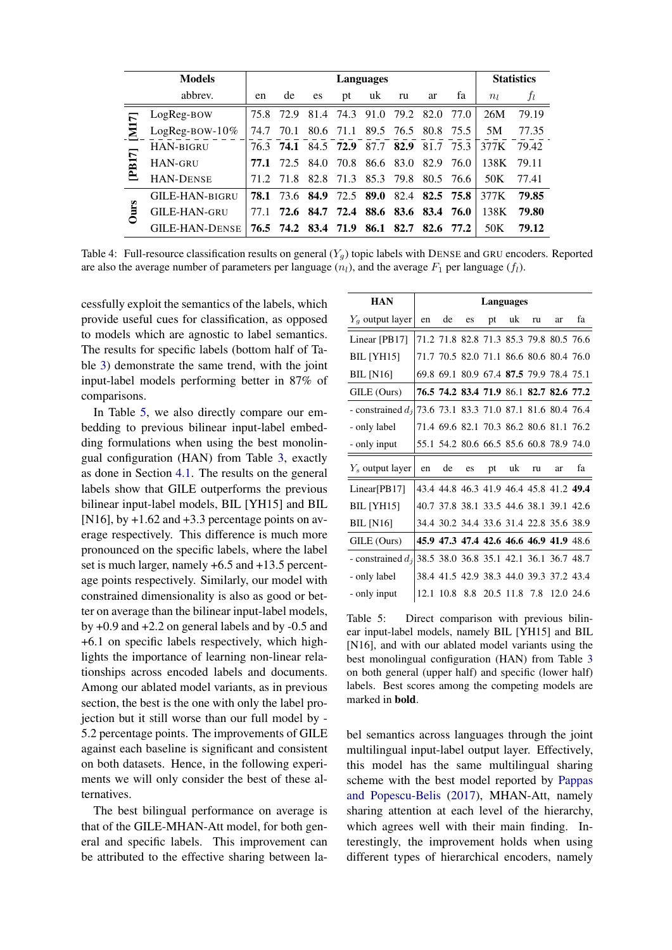|             | <b>Models</b>         |      |      |           |           | Languages |                     |                |           |       | <b>Statistics</b> |
|-------------|-----------------------|------|------|-----------|-----------|-----------|---------------------|----------------|-----------|-------|-------------------|
|             | abbrev.               | en   | de   | es        | pt        | uk        | ru                  | ar             | fa        | $n_l$ | $J_l$             |
| ↸           | LogReg-BOW            | 75.8 | 72.9 | 81.4      | 74.3      | 91.0      | 79.2                | 82.0           | 77.O      | 26M   | 79.19             |
|             | LogReg-BOW- $10\%$    | 74.7 | 70.1 |           | 80.6 71.1 |           | 89.5 76.5           |                | 80.8 75.5 | 5M    | 77.35             |
|             | HAN-BIGRU             | 76.3 | 74.1 |           | 84.5 72.9 | 87.7      | 82.9                | 81.7           | 75.3      | 377K  | 79.42             |
| [PB17]      | <b>HAN-GRU</b>        | 77.1 | 72.5 | 84.0      | 70.8      |           | 86.6 83.0           | 82.9           | 76.0      | 138K  | 79.11             |
|             | <b>HAN-DENSE</b>      | 71.2 | 718  | 82.8      | 71.3      | 85.3      | 79.8                |                | 80.5 76.6 | 50K   | 77.41             |
|             | <b>GILE-HAN-BIGRU</b> | 78.1 | 73.6 | 84.9      | 72.5      | 89.0      |                     | 82.4 82.5 75.8 |           | 377K  | 79.85             |
| <b>Jurs</b> | <b>GILE-HAN-GRU</b>   | 77.1 |      | 72.6 84.7 | 72.4      |           | 88.6 83.6 83.4 76.0 |                |           | 138K  | 79.80             |
|             | <b>GILE-HAN-DENSE</b> | 76.5 | 74.2 |           | 83.4 71.9 | 86.1      | 82.7                |                | 82.6 77.2 | 50K   | 79.12             |

<span id="page-9-0"></span>Table 4: Full-resource classification results on general  $(Y_q)$  topic labels with DENSE and GRU encoders. Reported are also the average number of parameters per language  $(n_l)$ , and the average  $F_1$  per language  $(f_l)$ .

cessfully exploit the semantics of the labels, which provide useful cues for classification, as opposed to models which are agnostic to label semantics. The results for specific labels (bottom half of Table [3\)](#page-8-0) demonstrate the same trend, with the joint input-label models performing better in 87% of comparisons.

In Table [5,](#page-9-1) we also directly compare our embedding to previous bilinear input-label embedding formulations when using the best monolingual configuration (HAN) from Table [3,](#page-8-0) exactly as done in Section [4.1.](#page-5-2) The results on the general labels show that GILE outperforms the previous bilinear input-label models, BIL [YH15] and BIL [N16], by  $+1.62$  and  $+3.3$  percentage points on average respectively. This difference is much more pronounced on the specific labels, where the label set is much larger, namely +6.5 and +13.5 percentage points respectively. Similarly, our model with constrained dimensionality is also as good or better on average than the bilinear input-label models, by +0.9 and +2.2 on general labels and by -0.5 and +6.1 on specific labels respectively, which highlights the importance of learning non-linear relationships across encoded labels and documents. Among our ablated model variants, as in previous section, the best is the one with only the label projection but it still worse than our full model by - 5.2 percentage points. The improvements of GILE against each baseline is significant and consistent on both datasets. Hence, in the following experiments we will only consider the best of these alternatives.

The best bilingual performance on average is that of the GILE-MHAN-Att model, for both general and specific labels. This improvement can be attributed to the effective sharing between la-

| <b>HAN</b>          |    |                                         |    | Languages |    |    |    |                                         |
|---------------------|----|-----------------------------------------|----|-----------|----|----|----|-----------------------------------------|
| $Y_a$ output layer  | en | de                                      | es | pt        | uk | ru | ar | fa                                      |
| Linear [PB17]       |    | 71.2 71.8 82.8 71.3 85.3 79.8 80.5 76.6 |    |           |    |    |    |                                         |
| <b>BIL</b> [YH15]   |    | 71.7 70.5 82.0 71.1 86.6 80.6 80.4 76.0 |    |           |    |    |    |                                         |
| <b>BIL</b> [N16]    |    | 69.8 69.1 80.9 67.4 87.5 79.9 78.4 75.1 |    |           |    |    |    |                                         |
| GILE (Ours)         |    |                                         |    |           |    |    |    | 76.5 74.2 83.4 71.9 86.1 82.7 82.6 77.2 |
| - constrained $d_i$ |    | 73.6 73.1 83.3 71.0 87.1 81.6 80.4 76.4 |    |           |    |    |    |                                         |
| - only label        |    | 71.4 69.6 82.1 70.3 86.2 80.6 81.1 76.2 |    |           |    |    |    |                                         |
| - only input        |    | 55.1 54.2 80.6 66.5 85.6 60.8 78.9 74.0 |    |           |    |    |    |                                         |
| $Y_s$ output layer  | en | de                                      | es | pt        | uk | ru | ar | fa                                      |
| Linear[PB17]        |    |                                         |    |           |    |    |    | 43.4 44.8 46.3 41.9 46.4 45.8 41.2 49.4 |
| <b>BIL</b> [YH15]   |    | 40.7 37.8 38.1 33.5 44.6 38.1 39.1 42.6 |    |           |    |    |    |                                         |
| <b>BIL</b> [N16]    |    | 34.4 30.2 34.4 33.6 31.4 22.8 35.6 38.9 |    |           |    |    |    |                                         |
| GILE (Ours)         |    | 45.9 47.3 47.4 42.6 46.6 46.9 41.9 48.6 |    |           |    |    |    |                                         |
| - constrained $d_i$ |    | 38.5 38.0 36.8 35.1 42.1 36.1 36.7 48.7 |    |           |    |    |    |                                         |
| - only label        |    | 38.4 41.5 42.9 38.3 44.0 39.3 37.2 43.4 |    |           |    |    |    |                                         |
| - only input        |    | 12.1 10.8 8.8 20.5 11.8 7.8             |    |           |    |    |    | 12.0 24.6                               |

<span id="page-9-1"></span>Table 5: Direct comparison with previous bilinear input-label models, namely BIL [YH15] and BIL [N16], and with our ablated model variants using the best monolingual configuration (HAN) from Table [3](#page-8-0) on both general (upper half) and specific (lower half) labels. Best scores among the competing models are marked in bold.

bel semantics across languages through the joint multilingual input-label output layer. Effectively, this model has the same multilingual sharing scheme with the best model reported by [Pappas](#page-14-6) [and Popescu-Belis](#page-14-6) [\(2017\)](#page-14-6), MHAN-Att, namely sharing attention at each level of the hierarchy, which agrees well with their main finding. Interestingly, the improvement holds when using different types of hierarchical encoders, namely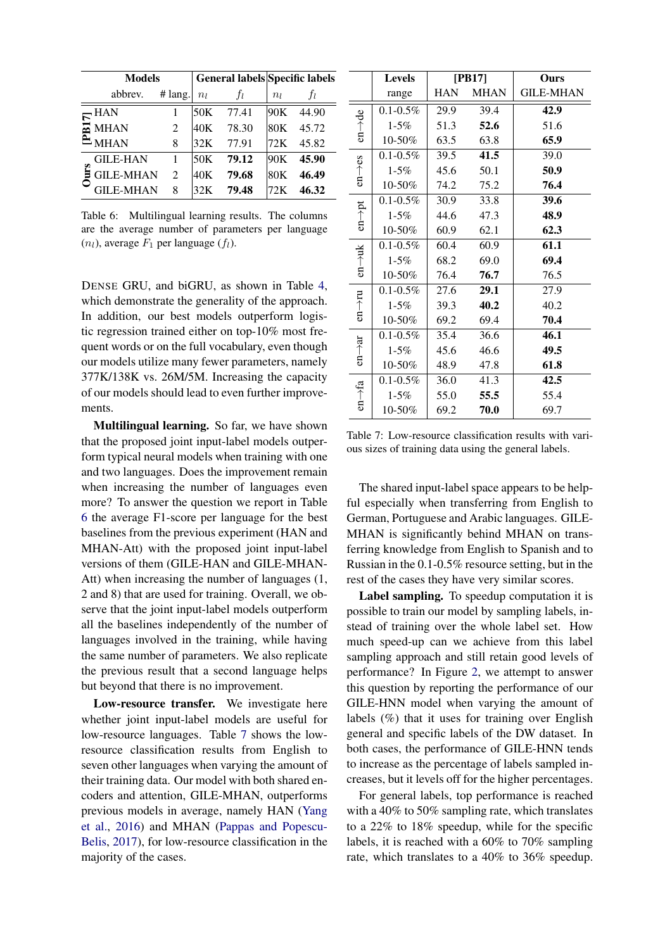|            | <b>Models</b>    |         |                 | General labels Specific labels |                 |       |
|------------|------------------|---------|-----------------|--------------------------------|-----------------|-------|
|            | abbrev.          | # lang. | $n_l$           | Ť1.                            | $n_l$           | Ťι    |
|            | <b>HAN</b>       |         | 50 <sub>K</sub> | 77.41                          | 90K             | 44.90 |
| <b>B17</b> | <b>MHAN</b>      | 2       | 40K             | 78.30                          | 80 <sub>K</sub> | 45.72 |
|            | <b>MHAN</b>      | 8       | 32K             | 77.91                          | 72K             | 45.82 |
|            | GILE-HAN         |         | 50K             | 79.12                          | 90K             | 45.90 |
| ی          | <b>GILE-MHAN</b> | 2       | 40K             | 79.68                          | 80 <sub>K</sub> | 46.49 |
|            | <b>GILE-MHAN</b> | 8       | 32K             | 79.48                          | 72K             | 46.32 |

<span id="page-10-1"></span>Table 6: Multilingual learning results. The columns are the average number of parameters per language  $(n_l)$ , average  $F_1$  per language  $(f_l)$ .

DENSE GRU, and biGRU, as shown in Table [4,](#page-9-0) which demonstrate the generality of the approach. In addition, our best models outperform logistic regression trained either on top-10% most frequent words or on the full vocabulary, even though our models utilize many fewer parameters, namely 377K/138K vs. 26M/5M. Increasing the capacity of our models should lead to even further improvements.

Multilingual learning. So far, we have shown that the proposed joint input-label models outperform typical neural models when training with one and two languages. Does the improvement remain when increasing the number of languages even more? To answer the question we report in Table [6](#page-10-1) the average F1-score per language for the best baselines from the previous experiment (HAN and MHAN-Att) with the proposed joint input-label versions of them (GILE-HAN and GILE-MHAN-Att) when increasing the number of languages (1, 2 and 8) that are used for training. Overall, we observe that the joint input-label models outperform all the baselines independently of the number of languages involved in the training, while having the same number of parameters. We also replicate the previous result that a second language helps but beyond that there is no improvement.

Low-resource transfer. We investigate here whether joint input-label models are useful for low-resource languages. Table [7](#page-10-0) shows the lowresource classification results from English to seven other languages when varying the amount of their training data. Our model with both shared encoders and attention, GILE-MHAN, outperforms previous models in average, namely HAN [\(Yang](#page-15-0) [et al.,](#page-15-0) [2016\)](#page-15-0) and MHAN [\(Pappas and Popescu-](#page-14-6)[Belis,](#page-14-6) [2017\)](#page-14-6), for low-resource classification in the majority of the cases.

|                     | <b>Levels</b> | [PB17]     |             | Ours             |
|---------------------|---------------|------------|-------------|------------------|
|                     | range         | <b>HAN</b> | <b>MHAN</b> | <b>GILE-MHAN</b> |
|                     | $0.1 - 0.5\%$ | 29.9       | 39.4        | 42.9             |
| $en \rightarrow de$ | $1 - 5\%$     | 51.3       | 52.6        | 51.6             |
|                     | 10-50%        | 63.5       | 63.8        | 65.9             |
|                     | $0.1 - 0.5\%$ | 39.5       | 41.5        | 39.0             |
| $en \rightarrow es$ | $1 - 5\%$     | 45.6       | 50.1        | 50.9             |
|                     | 10-50%        | 74.2       | 75.2        | 76.4             |
|                     | $0.1 - 0.5\%$ | 30.9       | 33.8        | 39.6             |
| $en \rightarrow pt$ | $1 - 5\%$     | 44.6       | 47.3        | 48.9             |
|                     | 10-50%        | 60.9       | 62.1        | 62.3             |
|                     | $0.1 - 0.5\%$ | 60.4       | 60.9        | 61.1             |
| $en \rightarrow uk$ | $1 - 5\%$     | 68.2       | 69.0        | 69.4             |
|                     | 10-50%        | 76.4       | 76.7        | 76.5             |
|                     | $0.1 - 0.5\%$ | 27.6       | 29.1        | 27.9             |
| $en \rightarrow nu$ | $1 - 5\%$     | 39.3       | 40.2        | 40.2             |
|                     | 10-50%        | 69.2       | 69.4        | 70.4             |
|                     | $0.1 - 0.5\%$ | 35.4       | 36.6        | 46.1             |
| $en \rightarrow ar$ | $1 - 5\%$     | 45.6       | 46.6        | 49.5             |
|                     | 10-50%        | 48.9       | 47.8        | 61.8             |
|                     | $0.1 - 0.5\%$ | 36.0       | 41.3        | 42.5             |
| $en \rightarrow fa$ | $1 - 5\%$     | 55.0       | 55.5        | 55.4             |
|                     | 10-50%        | 69.2       | 70.0        | 69.7             |

<span id="page-10-0"></span>Table 7: Low-resource classification results with various sizes of training data using the general labels.

The shared input-label space appears to be helpful especially when transferring from English to German, Portuguese and Arabic languages. GILE-MHAN is significantly behind MHAN on transferring knowledge from English to Spanish and to Russian in the 0.1-0.5% resource setting, but in the rest of the cases they have very similar scores.

Label sampling. To speedup computation it is possible to train our model by sampling labels, instead of training over the whole label set. How much speed-up can we achieve from this label sampling approach and still retain good levels of performance? In Figure [2,](#page-11-0) we attempt to answer this question by reporting the performance of our GILE-HNN model when varying the amount of labels (%) that it uses for training over English general and specific labels of the DW dataset. In both cases, the performance of GILE-HNN tends to increase as the percentage of labels sampled increases, but it levels off for the higher percentages.

For general labels, top performance is reached with a 40% to 50% sampling rate, which translates to a 22% to 18% speedup, while for the specific labels, it is reached with a 60% to 70% sampling rate, which translates to a 40% to 36% speedup.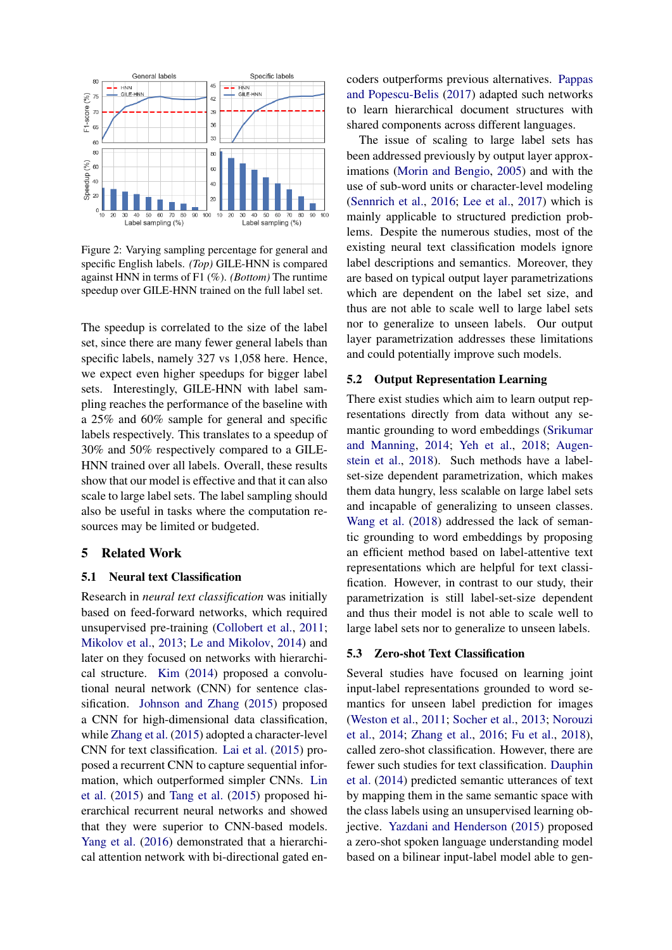

<span id="page-11-0"></span>Figure 2: Varying sampling percentage for general and specific English labels. *(Top)* GILE-HNN is compared against HNN in terms of F1 (%). *(Bottom)* The runtime speedup over GILE-HNN trained on the full label set.

The speedup is correlated to the size of the label set, since there are many fewer general labels than specific labels, namely 327 vs 1,058 here. Hence, we expect even higher speedups for bigger label sets. Interestingly, GILE-HNN with label sampling reaches the performance of the baseline with a 25% and 60% sample for general and specific labels respectively. This translates to a speedup of 30% and 50% respectively compared to a GILE-HNN trained over all labels. Overall, these results show that our model is effective and that it can also scale to large label sets. The label sampling should also be useful in tasks where the computation resources may be limited or budgeted.

## 5 Related Work

## 5.1 Neural text Classification

Research in *neural text classification* was initially based on feed-forward networks, which required unsupervised pre-training [\(Collobert et al.,](#page-13-6) [2011;](#page-13-6) [Mikolov et al.,](#page-14-7) [2013;](#page-14-7) [Le and Mikolov,](#page-13-7) [2014\)](#page-13-7) and later on they focused on networks with hierarchical structure. [Kim](#page-13-8) [\(2014\)](#page-13-8) proposed a convolutional neural network (CNN) for sentence classification. [Johnson and Zhang](#page-13-9) [\(2015\)](#page-13-9) proposed a CNN for high-dimensional data classification, while [Zhang et al.](#page-15-4) [\(2015\)](#page-15-4) adopted a character-level CNN for text classification. [Lai et al.](#page-13-10) [\(2015\)](#page-13-10) proposed a recurrent CNN to capture sequential information, which outperformed simpler CNNs. [Lin](#page-13-11) [et al.](#page-13-11) [\(2015\)](#page-13-11) and [Tang et al.](#page-14-0) [\(2015\)](#page-14-0) proposed hierarchical recurrent neural networks and showed that they were superior to CNN-based models. [Yang et al.](#page-15-0) [\(2016\)](#page-15-0) demonstrated that a hierarchical attention network with bi-directional gated encoders outperforms previous alternatives. [Pappas](#page-14-6) [and Popescu-Belis](#page-14-6) [\(2017\)](#page-14-6) adapted such networks to learn hierarchical document structures with shared components across different languages.

The issue of scaling to large label sets has been addressed previously by output layer approximations [\(Morin and Bengio,](#page-14-9) [2005\)](#page-14-9) and with the use of sub-word units or character-level modeling [\(Sennrich et al.,](#page-14-10) [2016;](#page-14-10) [Lee et al.,](#page-13-12) [2017\)](#page-13-12) which is mainly applicable to structured prediction problems. Despite the numerous studies, most of the existing neural text classification models ignore label descriptions and semantics. Moreover, they are based on typical output layer parametrizations which are dependent on the label set size, and thus are not able to scale well to large label sets nor to generalize to unseen labels. Our output layer parametrization addresses these limitations and could potentially improve such models.

#### 5.2 Output Representation Learning

There exist studies which aim to learn output representations directly from data without any semantic grounding to word embeddings [\(Srikumar](#page-14-11) [and Manning,](#page-14-11) [2014;](#page-14-11) [Yeh et al.,](#page-15-5) [2018;](#page-15-5) [Augen](#page-12-2)[stein et al.,](#page-12-2) [2018\)](#page-12-2). Such methods have a labelset-size dependent parametrization, which makes them data hungry, less scalable on large label sets and incapable of generalizing to unseen classes. [Wang et al.](#page-15-6) [\(2018\)](#page-15-6) addressed the lack of semantic grounding to word embeddings by proposing an efficient method based on label-attentive text representations which are helpful for text classification. However, in contrast to our study, their parametrization is still label-set-size dependent and thus their model is not able to scale well to large label sets nor to generalize to unseen labels.

### 5.3 Zero-shot Text Classification

Several studies have focused on learning joint input-label representations grounded to word semantics for unseen label prediction for images [\(Weston et al.,](#page-15-1) [2011;](#page-15-1) [Socher et al.,](#page-14-4) [2013;](#page-14-4) [Norouzi](#page-14-12) [et al.,](#page-14-12) [2014;](#page-14-12) [Zhang et al.,](#page-15-7) [2016;](#page-15-7) [Fu et al.,](#page-13-13) [2018\)](#page-13-13), called zero-shot classification. However, there are fewer such studies for text classification. [Dauphin](#page-13-14) [et al.](#page-13-14) [\(2014\)](#page-13-14) predicted semantic utterances of text by mapping them in the same semantic space with the class labels using an unsupervised learning objective. [Yazdani and Henderson](#page-15-2) [\(2015\)](#page-15-2) proposed a zero-shot spoken language understanding model based on a bilinear input-label model able to gen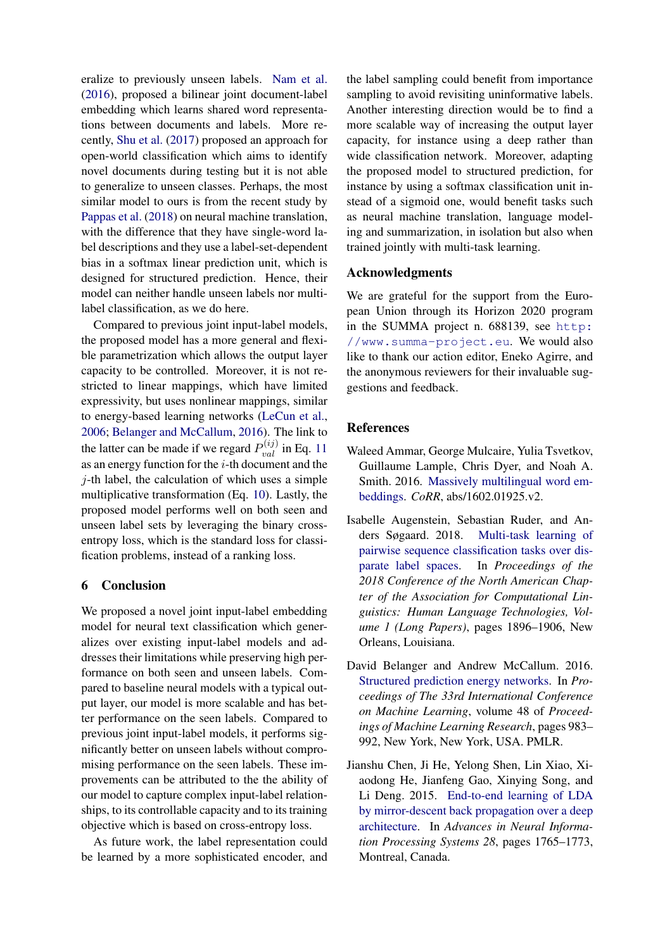eralize to previously unseen labels. [Nam et al.](#page-14-5) [\(2016\)](#page-14-5), proposed a bilinear joint document-label embedding which learns shared word representations between documents and labels. More recently, [Shu et al.](#page-14-13) [\(2017\)](#page-14-13) proposed an approach for open-world classification which aims to identify novel documents during testing but it is not able to generalize to unseen classes. Perhaps, the most similar model to ours is from the recent study by [Pappas et al.](#page-14-14) [\(2018\)](#page-14-14) on neural machine translation, with the difference that they have single-word label descriptions and they use a label-set-dependent bias in a softmax linear prediction unit, which is designed for structured prediction. Hence, their model can neither handle unseen labels nor multilabel classification, as we do here.

Compared to previous joint input-label models, the proposed model has a more general and flexible parametrization which allows the output layer capacity to be controlled. Moreover, it is not restricted to linear mappings, which have limited expressivity, but uses nonlinear mappings, similar to energy-based learning networks [\(LeCun et al.,](#page-13-15) [2006;](#page-13-15) [Belanger and McCallum,](#page-12-3) [2016\)](#page-12-3). The link to the latter can be made if we regard  $P_{val}^{(ij)}$  in Eq. [11](#page-3-2) as an energy function for the  $i$ -th document and the  $j$ -th label, the calculation of which uses a simple multiplicative transformation (Eq. [10\)](#page-3-3). Lastly, the proposed model performs well on both seen and unseen label sets by leveraging the binary crossentropy loss, which is the standard loss for classification problems, instead of a ranking loss.

# 6 Conclusion

We proposed a novel joint input-label embedding model for neural text classification which generalizes over existing input-label models and addresses their limitations while preserving high performance on both seen and unseen labels. Compared to baseline neural models with a typical output layer, our model is more scalable and has better performance on the seen labels. Compared to previous joint input-label models, it performs significantly better on unseen labels without compromising performance on the seen labels. These improvements can be attributed to the the ability of our model to capture complex input-label relationships, to its controllable capacity and to its training objective which is based on cross-entropy loss.

As future work, the label representation could be learned by a more sophisticated encoder, and

the label sampling could benefit from importance sampling to avoid revisiting uninformative labels. Another interesting direction would be to find a more scalable way of increasing the output layer capacity, for instance using a deep rather than wide classification network. Moreover, adapting the proposed model to structured prediction, for instance by using a softmax classification unit instead of a sigmoid one, would benefit tasks such as neural machine translation, language modeling and summarization, in isolation but also when trained jointly with multi-task learning.

# Acknowledgments

We are grateful for the support from the European Union through its Horizon 2020 program in the SUMMA project n. 688139, see [http:](http://www.summa-project.eu) [//www.summa-project.eu](http://www.summa-project.eu). We would also like to thank our action editor, Eneko Agirre, and the anonymous reviewers for their invaluable suggestions and feedback.

# References

- <span id="page-12-1"></span>Waleed Ammar, George Mulcaire, Yulia Tsvetkov, Guillaume Lample, Chris Dyer, and Noah A. Smith. 2016. [Massively multilingual word em](https://arxiv.org/abs/1602.01925.v2)[beddings.](https://arxiv.org/abs/1602.01925.v2) *CoRR*, abs/1602.01925.v2.
- <span id="page-12-2"></span>Isabelle Augenstein, Sebastian Ruder, and Anders Søgaard. 2018. [Multi-task learning of](http://www.aclweb.org/anthology/N18-1172) [pairwise sequence classification tasks over dis](http://www.aclweb.org/anthology/N18-1172)[parate label spaces.](http://www.aclweb.org/anthology/N18-1172) In *Proceedings of the 2018 Conference of the North American Chapter of the Association for Computational Linguistics: Human Language Technologies, Volume 1 (Long Papers)*, pages 1896–1906, New Orleans, Louisiana.
- <span id="page-12-3"></span>David Belanger and Andrew McCallum. 2016. [Structured prediction energy networks.](http://proceedings.mlr.press/v48/belanger16.html) In *Proceedings of The 33rd International Conference on Machine Learning*, volume 48 of *Proceedings of Machine Learning Research*, pages 983– 992, New York, New York, USA. PMLR.
- <span id="page-12-0"></span>Jianshu Chen, Ji He, Yelong Shen, Lin Xiao, Xiaodong He, Jianfeng Gao, Xinying Song, and Li Deng. 2015. [End-to-end learning of LDA](https://papers.nips.cc/paper/5967-end-to-end-learning-of-lda-by-mirror-descent-back-propagation-over-a-deep-architecture) [by mirror-descent back propagation over a deep](https://papers.nips.cc/paper/5967-end-to-end-learning-of-lda-by-mirror-descent-back-propagation-over-a-deep-architecture) [architecture.](https://papers.nips.cc/paper/5967-end-to-end-learning-of-lda-by-mirror-descent-back-propagation-over-a-deep-architecture) In *Advances in Neural Information Processing Systems 28*, pages 1765–1773, Montreal, Canada.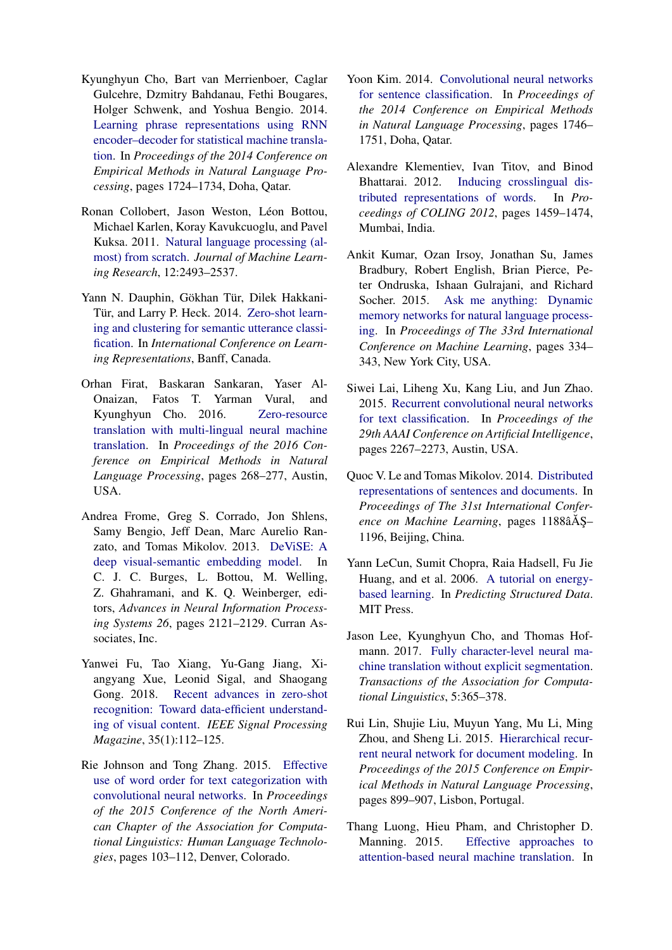- <span id="page-13-1"></span>Kyunghyun Cho, Bart van Merrienboer, Caglar Gulcehre, Dzmitry Bahdanau, Fethi Bougares, Holger Schwenk, and Yoshua Bengio. 2014. [Learning phrase representations using RNN](https://aclanthology.coli.uni-saarland.de/papers/D14-1179/d14-1179) [encoder–decoder for statistical machine transla](https://aclanthology.coli.uni-saarland.de/papers/D14-1179/d14-1179)[tion.](https://aclanthology.coli.uni-saarland.de/papers/D14-1179/d14-1179) In *Proceedings of the 2014 Conference on Empirical Methods in Natural Language Processing*, pages 1724–1734, Doha, Qatar.
- <span id="page-13-6"></span>Ronan Collobert, Jason Weston, Léon Bottou, Michael Karlen, Koray Kavukcuoglu, and Pavel Kuksa. 2011. [Natural language processing \(al](http://www.jmlr.org/papers/v12/collobert11a.html)[most\) from scratch.](http://www.jmlr.org/papers/v12/collobert11a.html) *Journal of Machine Learning Research*, 12:2493–2537.
- <span id="page-13-14"></span>Yann N. Dauphin, Gökhan Tür, Dilek Hakkani-Tür, and Larry P. Heck. 2014. [Zero-shot learn](http://arxiv.org/abs/1401.0509)[ing and clustering for semantic utterance classi](http://arxiv.org/abs/1401.0509)[fication.](http://arxiv.org/abs/1401.0509) In *International Conference on Learning Representations*, Banff, Canada.
- <span id="page-13-4"></span>Orhan Firat, Baskaran Sankaran, Yaser Al-Onaizan, Fatos T. Yarman Vural, and Kyunghyun Cho. 2016. [Zero-resource](https://aclweb.org/anthology/D16-1026) [translation with multi-lingual neural machine](https://aclweb.org/anthology/D16-1026) [translation.](https://aclweb.org/anthology/D16-1026) In *Proceedings of the 2016 Conference on Empirical Methods in Natural Language Processing*, pages 268–277, Austin, USA.
- <span id="page-13-3"></span>Andrea Frome, Greg S. Corrado, Jon Shlens, Samy Bengio, Jeff Dean, Marc Aurelio Ranzato, and Tomas Mikolov. 2013. [DeViSE: A](http://papers.nips.cc/paper/5204-devise-a-deep-visual-semantic-embedding-model.pdf) [deep visual-semantic embedding model.](http://papers.nips.cc/paper/5204-devise-a-deep-visual-semantic-embedding-model.pdf) In C. J. C. Burges, L. Bottou, M. Welling, Z. Ghahramani, and K. Q. Weinberger, editors, *Advances in Neural Information Processing Systems 26*, pages 2121–2129. Curran Associates, Inc.
- <span id="page-13-13"></span>Yanwei Fu, Tao Xiang, Yu-Gang Jiang, Xiangyang Xue, Leonid Sigal, and Shaogang Gong. 2018. [Recent advances in zero-shot](https://doi.org/10.1109/MSP.2017.2763441) [recognition: Toward data-efficient understand](https://doi.org/10.1109/MSP.2017.2763441)[ing of visual content.](https://doi.org/10.1109/MSP.2017.2763441) *IEEE Signal Processing Magazine*, 35(1):112–125.
- <span id="page-13-9"></span>Rie Johnson and Tong Zhang. 2015. [Effective](https://aclanthology.coli.uni-saarland.de/papers/N15-1011/n15-1011) [use of word order for text categorization with](https://aclanthology.coli.uni-saarland.de/papers/N15-1011/n15-1011) [convolutional neural networks.](https://aclanthology.coli.uni-saarland.de/papers/N15-1011/n15-1011) In *Proceedings of the 2015 Conference of the North American Chapter of the Association for Computational Linguistics: Human Language Technologies*, pages 103–112, Denver, Colorado.
- <span id="page-13-8"></span>Yoon Kim. 2014. [Convolutional neural networks](https://aclanthology.info/papers/D14-1181/d14-1181) [for sentence classification.](https://aclanthology.info/papers/D14-1181/d14-1181) In *Proceedings of the 2014 Conference on Empirical Methods in Natural Language Processing*, pages 1746– 1751, Doha, Qatar.
- <span id="page-13-5"></span>Alexandre Klementiev, Ivan Titov, and Binod Bhattarai. 2012. [Inducing crosslingual dis](http://www.aclweb.org/anthology/C12-1089)[tributed representations of words.](http://www.aclweb.org/anthology/C12-1089) In *Proceedings of COLING 2012*, pages 1459–1474, Mumbai, India.
- <span id="page-13-0"></span>Ankit Kumar, Ozan Irsoy, Jonathan Su, James Bradbury, Robert English, Brian Pierce, Peter Ondruska, Ishaan Gulrajani, and Richard Socher. 2015. [Ask me anything: Dynamic](http://proceedings.mlr.press/v48/kumar16.html) [memory networks for natural language process](http://proceedings.mlr.press/v48/kumar16.html)[ing.](http://proceedings.mlr.press/v48/kumar16.html) In *Proceedings of The 33rd International Conference on Machine Learning*, pages 334– 343, New York City, USA.
- <span id="page-13-10"></span>Siwei Lai, Liheng Xu, Kang Liu, and Jun Zhao. 2015. [Recurrent convolutional neural networks](https://www.aaai.org/ocs/index.php/AAAI/AAAI15/paper/view/9745/9552) [for text classification.](https://www.aaai.org/ocs/index.php/AAAI/AAAI15/paper/view/9745/9552) In *Proceedings of the 29th AAAI Conference on Artificial Intelligence*, pages 2267–2273, Austin, USA.
- <span id="page-13-7"></span>Quoc V. Le and Tomas Mikolov. 2014. [Distributed](http://proceedings.mlr.press/v32/le14.html) [representations of sentences and documents.](http://proceedings.mlr.press/v32/le14.html) In *Proceedings of The 31st International Confer*ence on Machine Learning, pages 1188âÅ S-1196, Beijing, China.
- <span id="page-13-15"></span>Yann LeCun, Sumit Chopra, Raia Hadsell, Fu Jie Huang, and et al. 2006. [A tutorial on energy](http://yann.lecun.com/exdb/publis/pdf/lecun-06.pdf)[based learning.](http://yann.lecun.com/exdb/publis/pdf/lecun-06.pdf) In *Predicting Structured Data*. MIT Press.
- <span id="page-13-12"></span>Jason Lee, Kyunghyun Cho, and Thomas Hofmann. 2017. [Fully character-level neural ma](https://aclanthology.coli.uni-saarland.de/papers/Q17-1026/q17-1026)[chine translation without explicit segmentation.](https://aclanthology.coli.uni-saarland.de/papers/Q17-1026/q17-1026) *Transactions of the Association for Computational Linguistics*, 5:365–378.
- <span id="page-13-11"></span>Rui Lin, Shujie Liu, Muyun Yang, Mu Li, Ming Zhou, and Sheng Li. 2015. [Hierarchical recur](https://aclanthology.coli.uni-saarland.de/papers/D15-1106/d15-1106)[rent neural network for document modeling.](https://aclanthology.coli.uni-saarland.de/papers/D15-1106/d15-1106) In *Proceedings of the 2015 Conference on Empirical Methods in Natural Language Processing*, pages 899–907, Lisbon, Portugal.
- <span id="page-13-2"></span>Thang Luong, Hieu Pham, and Christopher D. Manning. 2015. [Effective approaches to](https://aclanthology.info/papers/D15-1166/d15-1166) [attention-based neural machine translation.](https://aclanthology.info/papers/D15-1166/d15-1166) In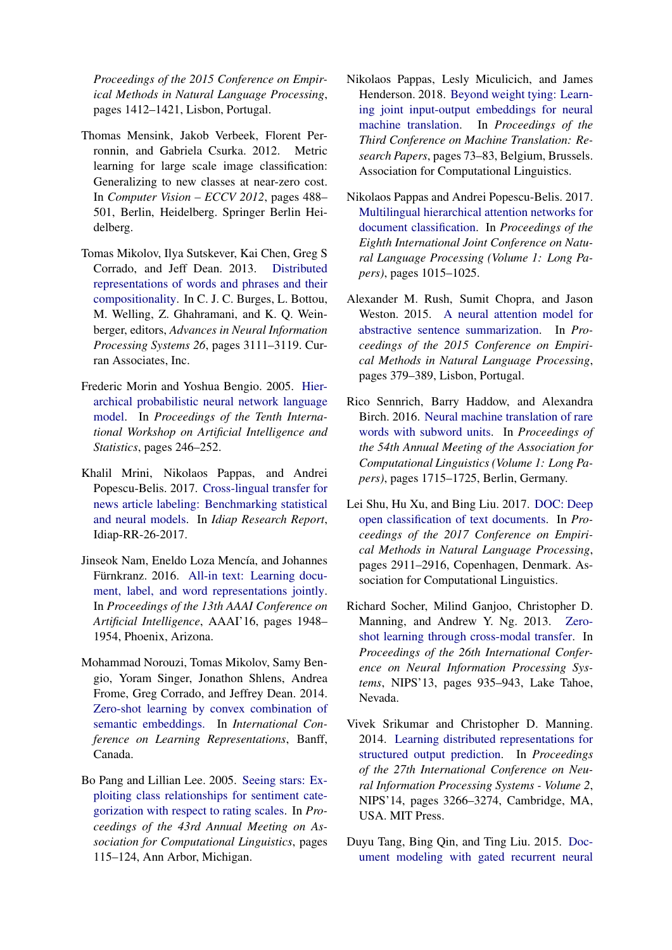*Proceedings of the 2015 Conference on Empirical Methods in Natural Language Processing*, pages 1412–1421, Lisbon, Portugal.

- <span id="page-14-3"></span>Thomas Mensink, Jakob Verbeek, Florent Perronnin, and Gabriela Csurka. 2012. Metric learning for large scale image classification: Generalizing to new classes at near-zero cost. In *Computer Vision – ECCV 2012*, pages 488– 501, Berlin, Heidelberg. Springer Berlin Heidelberg.
- <span id="page-14-7"></span>Tomas Mikolov, Ilya Sutskever, Kai Chen, Greg S Corrado, and Jeff Dean. 2013. [Distributed](https://papers.nips.cc/paper/5021-distributed-representations-of-words-and-phrases-and-their-compositionality) [representations of words and phrases and their](https://papers.nips.cc/paper/5021-distributed-representations-of-words-and-phrases-and-their-compositionality) [compositionality.](https://papers.nips.cc/paper/5021-distributed-representations-of-words-and-phrases-and-their-compositionality) In C. J. C. Burges, L. Bottou, M. Welling, Z. Ghahramani, and K. Q. Weinberger, editors, *Advances in Neural Information Processing Systems 26*, pages 3111–3119. Curran Associates, Inc.
- <span id="page-14-9"></span>Frederic Morin and Yoshua Bengio. 2005. [Hier](https://www.iro.umontreal.ca/~lisa/pointeurs/hierarchical-nnlm-aistats05.pdf)[archical probabilistic neural network language](https://www.iro.umontreal.ca/~lisa/pointeurs/hierarchical-nnlm-aistats05.pdf) [model.](https://www.iro.umontreal.ca/~lisa/pointeurs/hierarchical-nnlm-aistats05.pdf) In *Proceedings of the Tenth International Workshop on Artificial Intelligence and Statistics*, pages 246–252.
- <span id="page-14-8"></span>Khalil Mrini, Nikolaos Pappas, and Andrei Popescu-Belis. 2017. [Cross-lingual transfer for](https://publidiap.idiap.ch/index.php/publications/show/3642) [news article labeling: Benchmarking statistical](https://publidiap.idiap.ch/index.php/publications/show/3642) [and neural models.](https://publidiap.idiap.ch/index.php/publications/show/3642) In *Idiap Research Report*, Idiap-RR-26-2017.
- <span id="page-14-5"></span>Jinseok Nam, Eneldo Loza Mencía, and Johannes Fürnkranz. 2016. [All-in text: Learning docu](https://www.aaai.org/ocs/index.php/AAAI/AAAI16/paper/view/12058)[ment, label, and word representations jointly.](https://www.aaai.org/ocs/index.php/AAAI/AAAI16/paper/view/12058) In *Proceedings of the 13th AAAI Conference on Artificial Intelligence*, AAAI'16, pages 1948– 1954, Phoenix, Arizona.
- <span id="page-14-12"></span>Mohammad Norouzi, Tomas Mikolov, Samy Bengio, Yoram Singer, Jonathon Shlens, Andrea Frome, Greg Corrado, and Jeffrey Dean. 2014. [Zero-shot learning by convex combination of](https://arxiv.org/abs/1312.5650) [semantic embeddings.](https://arxiv.org/abs/1312.5650) In *International Conference on Learning Representations*, Banff, Canada.
- <span id="page-14-1"></span>Bo Pang and Lillian Lee. 2005. [Seeing stars: Ex](https://aclanthology.coli.uni-saarland.de/papers/P05-1015/p05-1015)[ploiting class relationships for sentiment cate](https://aclanthology.coli.uni-saarland.de/papers/P05-1015/p05-1015)[gorization with respect to rating scales.](https://aclanthology.coli.uni-saarland.de/papers/P05-1015/p05-1015) In *Proceedings of the 43rd Annual Meeting on Association for Computational Linguistics*, pages 115–124, Ann Arbor, Michigan.
- <span id="page-14-14"></span>Nikolaos Pappas, Lesly Miculicich, and James Henderson. 2018. [Beyond weight tying: Learn](http://www.aclweb.org/anthology/W18-6308)[ing joint input-output embeddings for neural](http://www.aclweb.org/anthology/W18-6308) [machine translation.](http://www.aclweb.org/anthology/W18-6308) In *Proceedings of the Third Conference on Machine Translation: Research Papers*, pages 73–83, Belgium, Brussels. Association for Computational Linguistics.
- <span id="page-14-6"></span>Nikolaos Pappas and Andrei Popescu-Belis. 2017. [Multilingual hierarchical attention networks for](http://aclweb.org/anthology/I17-1102) [document classification.](http://aclweb.org/anthology/I17-1102) In *Proceedings of the Eighth International Joint Conference on Natural Language Processing (Volume 1: Long Papers)*, pages 1015–1025.
- <span id="page-14-2"></span>Alexander M. Rush, Sumit Chopra, and Jason Weston. 2015. [A neural attention model for](https://aclanthology.coli.uni-saarland.de/papers/D15-1044/d15-1044) [abstractive sentence summarization.](https://aclanthology.coli.uni-saarland.de/papers/D15-1044/d15-1044) In *Proceedings of the 2015 Conference on Empirical Methods in Natural Language Processing*, pages 379–389, Lisbon, Portugal.
- <span id="page-14-10"></span>Rico Sennrich, Barry Haddow, and Alexandra Birch. 2016. [Neural machine translation of rare](https://aclanthology.coli.uni-saarland.de/papers/P16-1162/p16-1162) [words with subword units.](https://aclanthology.coli.uni-saarland.de/papers/P16-1162/p16-1162) In *Proceedings of the 54th Annual Meeting of the Association for Computational Linguistics (Volume 1: Long Papers)*, pages 1715–1725, Berlin, Germany.
- <span id="page-14-13"></span>Lei Shu, Hu Xu, and Bing Liu. 2017. [DOC: Deep](https://www.aclweb.org/anthology/D17-1314) [open classification of text documents.](https://www.aclweb.org/anthology/D17-1314) In *Proceedings of the 2017 Conference on Empirical Methods in Natural Language Processing*, pages 2911–2916, Copenhagen, Denmark. Association for Computational Linguistics.
- <span id="page-14-4"></span>Richard Socher, Milind Ganjoo, Christopher D. Manning, and Andrew Y. Ng. 2013. [Zero](https://papers.nips.cc/paper/5027-zero-shot-learning-through-cross-modal-transfer)[shot learning through cross-modal transfer.](https://papers.nips.cc/paper/5027-zero-shot-learning-through-cross-modal-transfer) In *Proceedings of the 26th International Conference on Neural Information Processing Systems*, NIPS'13, pages 935–943, Lake Tahoe, Nevada.
- <span id="page-14-11"></span>Vivek Srikumar and Christopher D. Manning. 2014. [Learning distributed representations for](http://dl.acm.org/citation.cfm?id=2969033.2969191) [structured output prediction.](http://dl.acm.org/citation.cfm?id=2969033.2969191) In *Proceedings of the 27th International Conference on Neural Information Processing Systems - Volume 2*, NIPS'14, pages 3266–3274, Cambridge, MA, USA. MIT Press.
- <span id="page-14-0"></span>Duyu Tang, Bing Qin, and Ting Liu. 2015. [Doc](https://doi.org/10.18653/v1/D15-1167)[ument modeling with gated recurrent neural](https://doi.org/10.18653/v1/D15-1167)